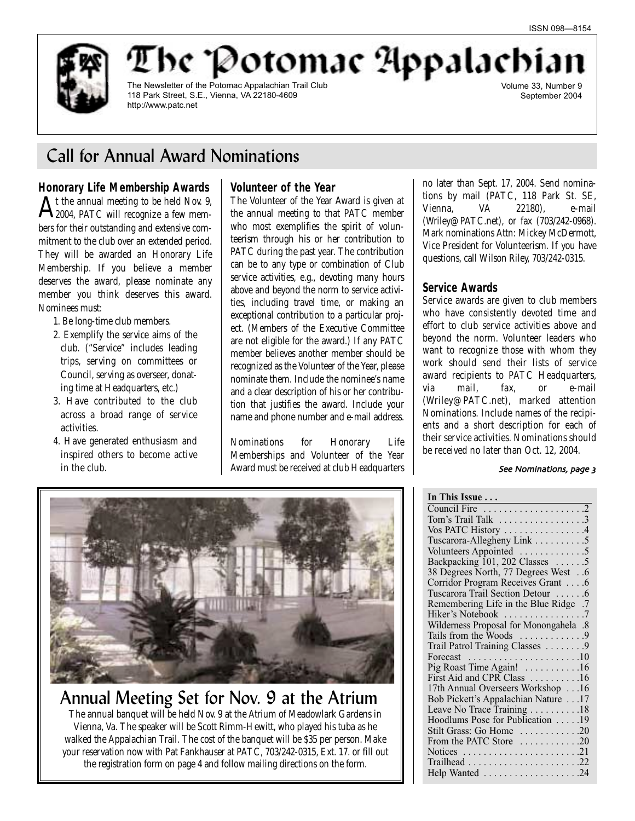

be "Potomac Appalachi The Newsletter of the Potomac Appalachian Trail Club 118 Park Street, S.E., Vienna, VA 22180-4609 http://www.patc.net

Volume 33, Number 9 September 2004

## Call for Annual Award Nominations

### **Honorary Life Membership Awards**

 $\rm A$ t the annual meeting to be held Nov. 9,<br> $\rm A$ 2004, PATC will recognize a few members for their outstanding and extensive commitment to the club over an extended period. They will be awarded an Honorary Life Membership. If you believe a member deserves the award, please nominate any member you think deserves this award. Nominees must:

- 1. Be long-time club members.
- 2. Exemplify the service aims of the club. ("Service" includes leading trips, serving on committees or Council, serving as overseer, donating time at Headquarters, etc.)
- 3. Have contributed to the club across a broad range of service activities.
- 4. Have generated enthusiasm and inspired others to become active in the club.

### **Volunteer of the Year**

The Volunteer of the Year Award is given at the annual meeting to that PATC member who most exemplifies the spirit of volunteerism through his or her contribution to PATC during the past year. The contribution can be to any type or combination of Club service activities, e.g., devoting many hours above and beyond the norm to service activities, including travel time, or making an exceptional contribution to a particular project. (Members of the Executive Committee are not eligible for the award.) If any PATC member believes another member should be recognized as the Volunteer of the Year, please nominate them. Include the nominee's name and a clear description of his or her contribution that justifies the award. Include your name and phone number and e-mail address.

Nominations for Honorary Life Memberships and Volunteer of the Year Award must be received at club Headquarters no later than Sept. 17, 2004. Send nominations by mail (PATC, 118 Park St. SE, Vienna, VA 22180), e-mail (Wriley@PATC.net), or fax (703/242-0968). Mark nominations Attn: Mickey McDermott, Vice President for Volunteerism. If you have questions, call Wilson Riley, 703/242-0315.

### **Service Awards**

Service awards are given to club members who have consistently devoted time and effort to club service activities above and beyond the norm. Volunteer leaders who want to recognize those with whom they work should send their lists of service award recipients to PATC Headquarters, via mail, fax, or e-mail (Wriley@PATC.net), marked attention Nominations. Include names of the recipients and a short description for each of their service activities. Nominations should be received no later than Oct. 12, 2004.

#### See Nominations, page 3

|    | In This Issue                                                        |
|----|----------------------------------------------------------------------|
|    |                                                                      |
|    | Tom's Trail Talk 3                                                   |
|    | Vos PATC History 4                                                   |
|    | Tuscarora-Allegheny Link 5                                           |
|    | Volunteers Appointed 5                                               |
|    | Backpacking 101, 202 Classes 5                                       |
|    | 38 Degrees North, 77 Degrees West6                                   |
|    | Corridor Program Receives Grant 6                                    |
|    | Tuscarora Trail Section Detour 6                                     |
|    | 7. Remembering Life in the Blue Ridge                                |
|    | Hiker's Notebook 7                                                   |
|    | Wilderness Proposal for Monongahela .8                               |
|    |                                                                      |
|    | Trail Patrol Training Classes  9                                     |
|    | Forecast $\ldots \ldots \ldots \ldots \ldots \ldots \ldots 10$       |
|    | Pig Roast Time Again! 16                                             |
|    | First Aid and CPR Class 16                                           |
|    | 17th Annual Overseers Workshop 16                                    |
|    | Bob Pickett's Appalachian Nature 17                                  |
|    | Leave No Trace Training 18                                           |
|    | Hoodlums Pose for Publication 19                                     |
|    | Stilt Grass: Go Home 20                                              |
| e  | From the PATC Store 20                                               |
| ut | Notices $\ldots \ldots \ldots \ldots \ldots \ldots \ldots \ldots 21$ |
|    |                                                                      |
|    | Help Wanted 24                                                       |
|    |                                                                      |



## Annual Meeting Set for Nov. 9 at the Atrium

The annual banquet will be held Nov. 9 at the Atrium of Meadowlark Gardens in Vienna, Va. The speaker will be Scott Rimm-Hewitt, who played his tuba as he walked the Appalachian Trail. The cost of the banquet will be \$35 per person. Make your reservation now with Pat Fankhauser at PATC, 703/242-0315, Ext. 17. or fill ou the registration form on page 4 and follow mailing directions on the form.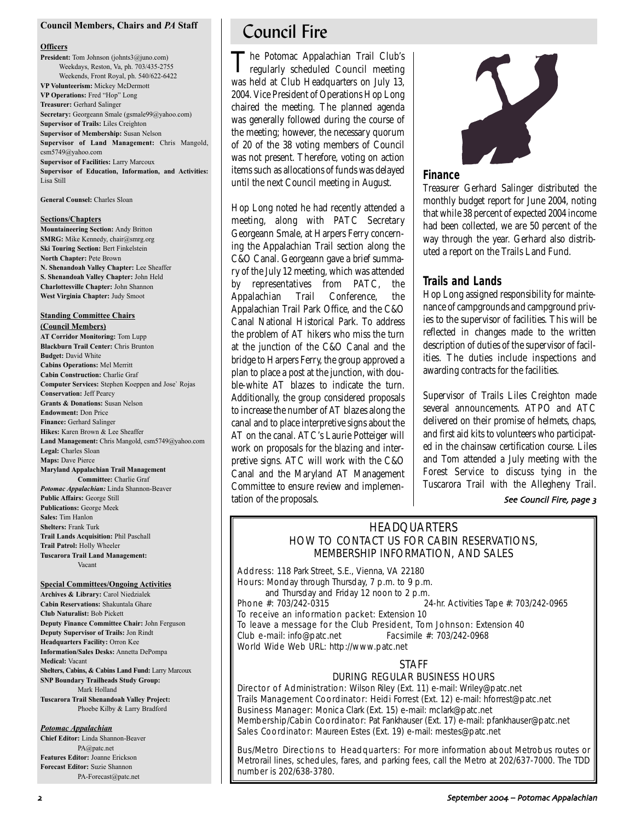#### **Council Members, Chairs and** *PA* **Staff**

#### **Officers**

**President:** Tom Johnson (johnts3@juno.com) Weekdays, Reston, Va, ph. 703/435-2755 Weekends, Front Royal, ph. 540/622-6422 **VP Volunteerism:** Mickey McDermott **VP Operations:** Fred "Hop" Long **Treasurer:** Gerhard Salinger **Secretary:** Georgeann Smale (gsmale99@yahoo.com) **Supervisor of Trails:** Liles Creighton **Supervisor of Membership:** Susan Nelson **Supervisor of Land Management:** Chris Mangold, csm5749@yahoo.com **Supervisor of Facilities:** Larry Marcoux **Supervisor of Education, Information, and Activities:** Lisa Still

**General Counsel:** Charles Sloan

#### **Sections/Chapters**

**Mountaineering Section:** Andy Britton **SMRG:** Mike Kennedy, chair@smrg.org **Ski Touring Section:** Bert Finkelstein **North Chapter:** Pete Brown **N. Shenandoah Valley Chapter:** Lee Sheaffer **S. Shenandoah Valley Chapter:** John Held **Charlottesville Chapter:** John Shannon **West Virginia Chapter:** Judy Smoot

#### **Standing Committee Chairs**

**(Council Members) AT Corridor Monitoring:** Tom Lupp **Blackburn Trail Center:** Chris Brunton **Budget:** David White **Cabins Operations:** Mel Merritt **Cabin Construction:** Charlie Graf **Computer Services:** Stephen Koeppen and Jose` Rojas **Conservation:** Jeff Pearcy **Grants & Donations:** Susan Nelson **Endowment:** Don Price **Finance:** Gerhard Salinger **Hikes:** Karen Brown & Lee Sheaffer **Land Management:** Chris Mangold, csm5749@yahoo.com **Legal:** Charles Sloan **Maps:** Dave Pierce **Maryland Appalachian Trail Management Committee:** Charlie Graf *Potomac Appalachian:* Linda Shannon-Beaver **Public Affairs:** George Still **Publications:** George Meek **Sales:** Tim Hanlon **Shelters:** Frank Turk **Trail Lands Acquisition:** Phil Paschall **Trail Patrol:** Holly Wheeler

**Tuscarora Trail Land Management:** Vacant

#### **Special Committees/Ongoing Activities**

**Archives & Library:** Carol Niedzialek **Cabin Reservations:** Shakuntala Ghare **Club Naturalist:** Bob Pickett **Deputy Finance Committee Chair:** John Ferguson **Deputy Supervisor of Trails:** Jon Rindt **Headquarters Facility:** Orron Kee **Information/Sales Desks:** Annetta DePompa **Medical:** Vacant **Shelters, Cabins, & Cabins Land Fund:** Larry Marcoux **SNP Boundary Trailheads Study Group:** Mark Holland **Tuscarora Trail Shenandoah Valley Project:** Phoebe Kilby & Larry Bradford

#### *Potomac Appalachian*

**Chief Editor:** Linda Shannon-Beaver PA@patc.net **Features Editor:** Joanne Erickson **Forecast Editor:** Suzie Shannon PA-Forecast@patc.net

## Council Fire

The Potomac Appalachian Trail Club's regularly scheduled Council meeting was held at Club Headquarters on July 13, 2004. Vice President of Operations Hop Long chaired the meeting. The planned agenda was generally followed during the course of the meeting; however, the necessary quorum of 20 of the 38 voting members of Council was not present. Therefore, voting on action items such as allocations of funds was delayed until the next Council meeting in August.

Hop Long noted he had recently attended a meeting, along with PATC Secretary Georgeann Smale, at Harpers Ferry concerning the Appalachian Trail section along the C&O Canal. Georgeann gave a brief summary of the July 12 meeting, which was attended by representatives from PATC, the Appalachian Trail Conference, the Appalachian Trail Park Office, and the C&O Canal National Historical Park. To address the problem of AT hikers who miss the turn at the junction of the C&O Canal and the bridge to Harpers Ferry, the group approved a plan to place a post at the junction, with double-white AT blazes to indicate the turn. Additionally, the group considered proposals to increase the number of AT blazes along the canal and to place interpretive signs about the AT on the canal. ATC's Laurie Potteiger will work on proposals for the blazing and interpretive signs. ATC will work with the C&O Canal and the Maryland AT Management Committee to ensure review and implementation of the proposals.



#### **Finance**

Treasurer Gerhard Salinger distributed the monthly budget report for June 2004, noting that while 38 percent of expected 2004 income had been collected, we are 50 percent of the way through the year. Gerhard also distributed a report on the Trails Land Fund.

### **Trails and Lands**

Hop Long assigned responsibility for maintenance of campgrounds and campground privies to the supervisor of facilities. This will be reflected in changes made to the written description of duties of the supervisor of facilities. The duties include inspections and awarding contracts for the facilities.

Supervisor of Trails Liles Creighton made several announcements. ATPO and ATC delivered on their promise of helmets, chaps, and first aid kits to volunteers who participated in the chainsaw certification course. Liles and Tom attended a July meeting with the Forest Service to discuss tying in the Tuscarora Trail with the Allegheny Trail.

#### See Council Fire, page 3

### **HEADQUARTERS** HOW TO CONTACT US FOR CABIN RESERVATIONS, MEMBERSHIP INFORMATION, AND SALES

Address: 118 Park Street, S.E., Vienna, VA 22180 Hours: Monday through Thursday, 7 p.m. to 9 p.m. and Thursday and Friday 12 noon to 2 p.m.<br>Phone  $\#$ : 703/242-0315

24-hr. Activities Tape #: 703/242-0965

To receive an information packet: Extension 10 To leave a message for the Club President, Tom Johnson: Extension 40 Club e-mail: info@patc.net Facsimile #: 703/242-0968 World Wide Web URL: http://www.patc.net

#### STAFF

#### DURING REGULAR BUSINESS HOURS

Director of Administration: Wilson Riley (Ext. 11) e-mail: Wriley@patc.net Trails Management Coordinator: Heidi Forrest (Ext. 12) e-mail: hforrest@patc.net Business Manager: Monica Clark (Ext. 15) e-mail: mclark@patc.net Membership/Cabin Coordinator: Pat Fankhauser (Ext. 17) e-mail: pfankhauser@patc.net Sales Coordinator: Maureen Estes (Ext. 19) e-mail: mestes@patc.net

Bus/Metro Directions to Headquarters: For more information about Metrobus routes or Metrorail lines, schedules, fares, and parking fees, call the Metro at 202/637-7000. The TDD number is 202/638-3780.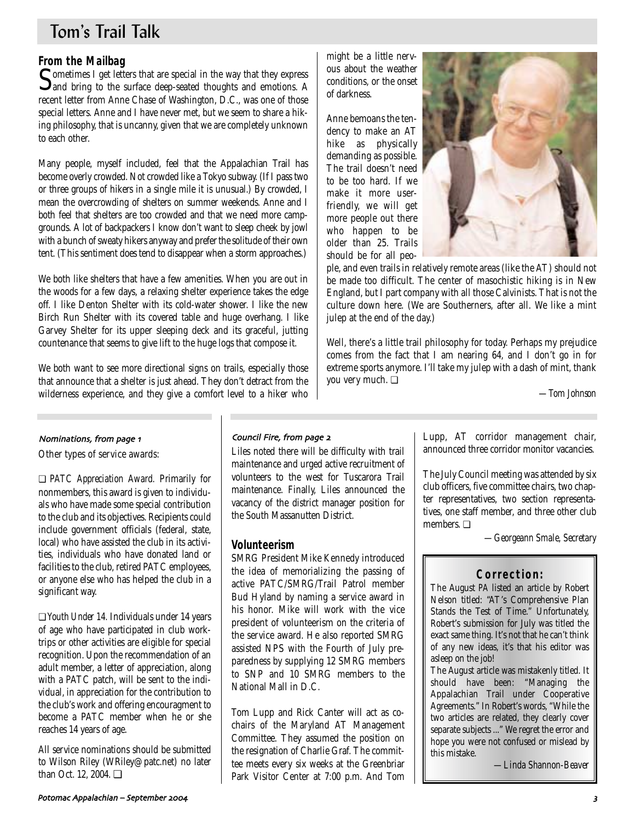## Tom's Trail Talk

**From the Mailbag**<br> **C** ometimes I get letters that are special in the way that they express Sometimes I get letters that are special in the way that they express<br>Sand bring to the surface deep-seated thoughts and emotions. A recent letter from Anne Chase of Washington, D.C., was one of those special letters. Anne and I have never met, but we seem to share a hiking philosophy, that is uncanny, given that we are completely unknown to each other.

Many people, myself included, feel that the Appalachian Trail has become overly crowded. Not crowded like a Tokyo subway. (If I pass two or three groups of hikers in a single mile it is unusual.) By crowded, I mean the overcrowding of shelters on summer weekends. Anne and I both feel that shelters are too crowded and that we need more campgrounds. A lot of backpackers I know don't want to sleep cheek by jowl with a bunch of sweaty hikers anyway and prefer the solitude of their own tent. (This sentiment does tend to disappear when a storm approaches.)

We both like shelters that have a few amenities. When you are out in the woods for a few days, a relaxing shelter experience takes the edge off. I like Denton Shelter with its cold-water shower. I like the new Birch Run Shelter with its covered table and huge overhang. I like Garvey Shelter for its upper sleeping deck and its graceful, jutting countenance that seems to give lift to the huge logs that compose it.

We both want to see more directional signs on trails, especially those that announce that a shelter is just ahead. They don't detract from the wilderness experience, and they give a comfort level to a hiker who might be a little nervous about the weather conditions, or the onset of darkness.

Anne bemoans the tendency to make an AT hike as physically demanding as possible. The trail doesn't need to be too hard. If we make it more userfriendly, we will get more people out there who happen to be older than 25. Trails should be for all peo-



ple, and even trails in relatively remote areas (like the AT) should not be made too difficult. The center of masochistic hiking is in New England, but I part company with all those Calvinists. That is not the culture down here. (We are Southerners, after all. We like a mint julep at the end of the day.)

Well, there's a little trail philosophy for today. Perhaps my prejudice comes from the fact that I am nearing 64, and I don't go in for extreme sports anymore. I'll take my julep with a dash of mint, thank you very much. ❏

*—Tom Johnson*

### Nominations, from page 1

Other types of service awards:

❏ *PATC Appreciation Award.* Primarily for nonmembers, this award is given to individuals who have made some special contribution to the club and its objectives. Recipients could include government officials (federal, state, local) who have assisted the club in its activities, individuals who have donated land or facilities to the club, retired PATC employees, or anyone else who has helped the club in a significant way.

❏ *Youth Under 14.* Individuals under 14 years of age who have participated in club worktrips or other activities are eligible for special recognition. Upon the recommendation of an adult member, a letter of appreciation, along with a PATC patch, will be sent to the individual, in appreciation for the contribution to the club's work and offering encouragment to become a PATC member when he or she reaches 14 years of age.

All service nominations should be submitted to Wilson Riley (WRiley@patc.net) no later than Oct. 12, 2004. ❏

#### Council Fire, from page 2

Liles noted there will be difficulty with trail maintenance and urged active recruitment of volunteers to the west for Tuscarora Trail maintenance. Finally, Liles announced the vacancy of the district manager position for the South Massanutten District.

### **Volunteerism**

SMRG President Mike Kennedy introduced the idea of memorializing the passing of active PATC/SMRG/Trail Patrol member Bud Hyland by naming a service award in his honor. Mike will work with the vice president of volunteerism on the criteria of the service award. He also reported SMRG assisted NPS with the Fourth of July preparedness by supplying 12 SMRG members to SNP and 10 SMRG members to the National Mall in D.C.

Tom Lupp and Rick Canter will act as cochairs of the Maryland AT Management Committee. They assumed the position on the resignation of Charlie Graf. The committee meets every six weeks at the Greenbriar Park Visitor Center at 7:00 p.m. And Tom Lupp, AT corridor management chair, announced three corridor monitor vacancies.

The July Council meeting was attended by six club officers, five committee chairs, two chapter representatives, two section representatives, one staff member, and three other club members. ❏

*—Georgeann Smale, Secretary*

### **Correction:**

The August *PA* listed an article by Robert Nelson titled: "AT's Comprehensive Plan Stands the Test of Time." Unfortunately, Robert's submission for July was titled the exact same thing. It's not that he can't think of any new ideas, it's that his editor was asleep on the job!

The August article was mistakenly titled. It should have been: "Managing the Appalachian Trail under Cooperative Agreements." In Robert's words, "While the two articles are related, they clearly cover separate subjects ..." We regret the error and hope you were not confused or mislead by this mistake.

*—Linda Shannon-Beaver*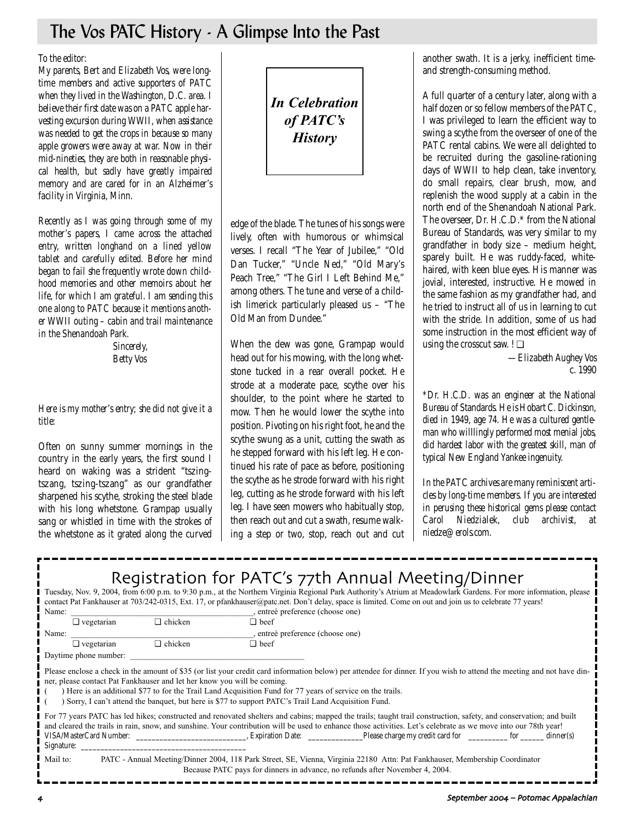## The Vos PATC History - A Glimpse Into the Past

### *To the editor:*

*My parents, Bert and Elizabeth Vos, were longtime members and active supporters of PATC when they lived in the Washington, D.C. area. I believe their first date was on a PATC apple harvesting excursion during WWII, when assistance was needed to get the crops in because so many apple growers were away at war. Now in their mid-nineties, they are both in reasonable physical health, but sadly have greatly impaired memory and are cared for in an Alzheimer's facility in Virginia, Minn.* 

*Recently as I was going through some of my mother's papers, I came across the attached entry, written longhand on a lined yellow tablet and carefully edited. Before her mind began to fail she frequently wrote down childhood memories and other memoirs about her life, for which I am grateful. I am sending this one along to PATC because it mentions another WWII outing – cabin and trail maintenance in the Shenandoah Park.* 

> *Sincerely, Betty Vos*

*Here is my mother's entry; she did not give it a title:* 

Often on sunny summer mornings in the country in the early years, the first sound I heard on waking was a strident "tszingtszang, tszing-tszang" as our grandfather sharpened his scythe, stroking the steel blade with his long whetstone. Grampap usually sang or whistled in time with the strokes of the whetstone as it grated along the curved *In Celebration of PATC's History*

edge of the blade. The tunes of his songs were lively, often with humorous or whimsical verses. I recall "The Year of Jubilee," "Old Dan Tucker," "Uncle Ned," "Old Mary's Peach Tree," "The Girl I Left Behind Me," among others. The tune and verse of a childish limerick particularly pleased us – "The Old Man from Dundee."

When the dew was gone, Grampap would head out for his mowing, with the long whetstone tucked in a rear overall pocket. He strode at a moderate pace, scythe over his shoulder, to the point where he started to mow. Then he would lower the scythe into position. Pivoting on his right foot, he and the scythe swung as a unit, cutting the swath as he stepped forward with his left leg. He continued his rate of pace as before, positioning the scythe as he strode forward with his right leg, cutting as he strode forward with his left leg. I have seen mowers who habitually stop, then reach out and cut a swath, resume walking a step or two, stop, reach out and cut

another swath. It is a jerky, inefficient timeand strength-consuming method.

A full quarter of a century later, along with a half dozen or so fellow members of the PATC, I was privileged to learn the efficient way to swing a scythe from the overseer of one of the PATC rental cabins. We were all delighted to be recruited during the gasoline-rationing days of WWII to help clean, take inventory, do small repairs, clear brush, mow, and replenish the wood supply at a cabin in the north end of the Shenandoah National Park. The overseer, Dr. H.C.D.\* from the National Bureau of Standards, was very similar to my grandfather in body size – medium height, sparely built. He was ruddy-faced, whitehaired, with keen blue eyes. His manner was jovial, interested, instructive. He mowed in the same fashion as my grandfather had, and he tried to instruct all of us in learning to cut with the stride. In addition, some of us had some instruction in the most efficient way of using the crosscut saw. ! ❏

*—Elizabeth Aughey Vos*  c. 1990

*\*Dr. H.C.D. was an engineer at the National Bureau of Standards. He is Hobart C. Dickinson, died in 1949, age 74. He was a cultured gentleman who willlingly performed most menial jobs, did hardest labor with the greatest skill, man of typical New England Yankee ingenuity.*

*In the PATC archives are many reminiscent articles by long-time members. If you are interested in perusing these historical gems please contact Carol Niedzialek, club archivist, at niedze@erols.com.*

## Registration for PATC's 77th Annual Meeting/Dinner

Tuesday, Nov. 9, 2004, from 6:00 p.m. to 9:30 p.m., at the Northern Virginia Regional Park Authority's Atrium at Meadowlark Gardens. For more information, please contact Pat Fankhauser at 703/242-0315, Ext. 17, or pfankhauser@patc.net. Don't delay, space is limited. Come on out and join us to celebrate 77 years!

Name:  $\Box$  where  $\Box$  and  $\Box$  are  $\Box$  and  $\Box$  are  $\Box$  are  $\Box$  (choose one) ❏ vegetarian ❏ chicken ❏ beef Name: where the preference (choose one)  $\alpha$ , entreè preference (choose one) ❏ vegetarian ❏ chicken ❏ beef Daytime phone number:

Please enclose a check in the amount of \$35 (or list your credit card information below) per attendee for dinner. If you wish to attend the meeting and not have dinner, please contact Pat Fankhauser and let her know you will be coming.

( ) Here is an additional \$77 to for the Trail Land Acquisition Fund for 77 years of service on the trails.

( ) Sorry, I can't attend the banquet, but here is \$77 to support PATC's Trail Land Acquisition Fund.

| For 77 years PATC has led hikes; constructed and renovated shelters and cabins; mapped the trails; taught trail construction, safety, and conservation; and built |                         |                                                                                                                              |                  |
|-------------------------------------------------------------------------------------------------------------------------------------------------------------------|-------------------------|------------------------------------------------------------------------------------------------------------------------------|------------------|
| and cleared the trails in rain, snow, and sunshine. Your contribution will be used to enhance those activities. Let's celebrate as we move into our 78th year!    |                         |                                                                                                                              |                  |
| VISA/MasterCard Number:                                                                                                                                           | <b>Expiration Date:</b> | Please charge my credit card for                                                                                             | dimner(s)<br>tor |
| Signature:                                                                                                                                                        |                         |                                                                                                                              |                  |
| Mail to'                                                                                                                                                          |                         | PATC - Annual Meeting/Dinner 2004, 118 Park Street, SE, Vienna, Virginia 22180, Attn: Pat Fankhauser, Membership Coordinator |                  |

PATC - Annual Meeting/Dinner 2004, 118 Park Street, SE, Vienna, Virginia 22180 Attn: Pat Fankhauser, Membership Coordinator Because PATC pays for dinners in advance, no refunds after November 4, 2004.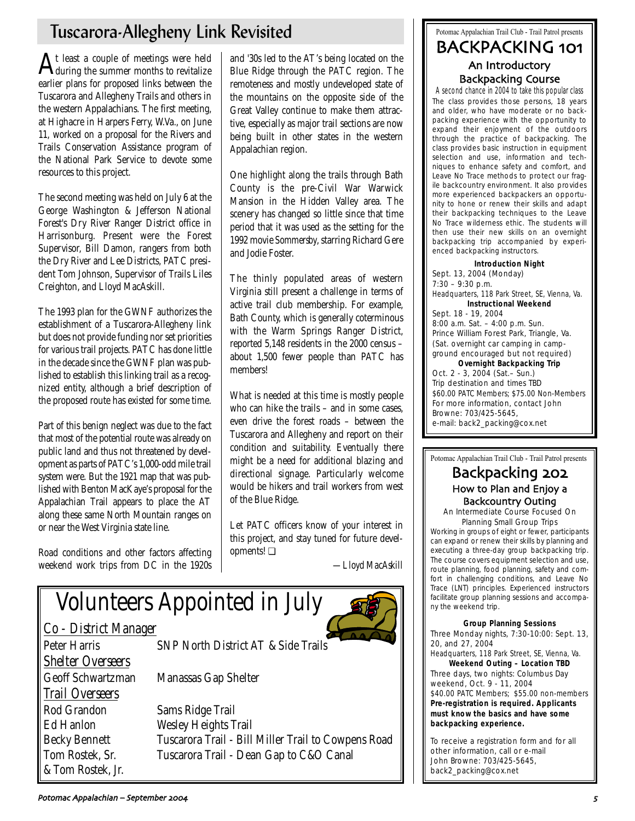## Tuscarora-Allegheny Link Revisited **Property Allegheny Link Revisited** Potomac Appalachian Trail Club - Trail Patrol presents

 ${\rm A}$ t least a couple of meetings were held during the summer months to revitalize earlier plans for proposed links between the Tuscarora and Allegheny Trails and others in the western Appalachians. The first meeting, at Highacre in Harpers Ferry, W.Va., on June 11, worked on a proposal for the Rivers and Trails Conservation Assistance program of the National Park Service to devote some resources to this project.

The second meeting was held on July 6 at the George Washington & Jefferson National Forest's Dry River Ranger District office in Harrisonburg. Present were the Forest Supervisor, Bill Damon, rangers from both the Dry River and Lee Districts, PATC president Tom Johnson, Supervisor of Trails Liles Creighton, and Lloyd MacAskill.

The 1993 plan for the GWNF authorizes the establishment of a Tuscarora-Allegheny link but does not provide funding nor set priorities for various trail projects. PATC has done little in the decade since the GWNF plan was published to establish this linking trail as a recognized entity, although a brief description of the proposed route has existed for some time.

Part of this benign neglect was due to the fact that most of the potential route was already on public land and thus not threatened by development as parts of PATC's 1,000-odd mile trail system were. But the 1921 map that was published with Benton MacKaye's proposal for the Appalachian Trail appears to place the AT along these same North Mountain ranges on or near the West Virginia state line.

Road conditions and other factors affecting weekend work trips from DC in the 1920s

and '30s led to the AT's being located on the Blue Ridge through the PATC region. The remoteness and mostly undeveloped state of the mountains on the opposite side of the Great Valley continue to make them attractive, especially as major trail sections are now being built in other states in the western Appalachian region.

One highlight along the trails through Bath County is the pre-Civil War Warwick Mansion in the Hidden Valley area. The scenery has changed so little since that time period that it was used as the setting for the 1992 movie *Sommersby*, starring Richard Gere and Jodie Foster.

The thinly populated areas of western Virginia still present a challenge in terms of active trail club membership. For example, Bath County, which is generally coterminous with the Warm Springs Ranger District, reported 5,148 residents in the 2000 census – about 1,500 fewer people than PATC has members!

What is needed at this time is mostly people who can hike the trails – and in some cases, even drive the forest roads – between the Tuscarora and Allegheny and report on their condition and suitability. Eventually there might be a need for additional blazing and directional signage. Particularly welcome would be hikers and trail workers from west of the Blue Ridge.

Let PATC officers know of your interest in this project, and stay tuned for future developments! ❏

*—Lloyd MacAskill*



## BACKPACKING 101 An Introductory Backpacking Course

A second chance in 2004 to take this popular class The class provides those persons, 18 years and older, who have moderate or no backpacking experience with the opportunity to expand their enjoyment of the outdoors through the practice of backpacking. The class provides basic instruction in equipment selection and use, information and techniques to enhance safety and comfort, and Leave No Trace methods to protect our fragile backcountry environment. It also provides more experienced backpackers an opportunity to hone or renew their skills and adapt their backpacking techniques to the Leave No Trace wilderness ethic. The students will then use their new skills on an overnight backpacking trip accompanied by experienced backpacking instructors.

#### **Introduction Night** Sept. 13, 2004 (Monday) 7:30 – 9:30 p.m. Headquarters, 118 Park Street, SE, Vienna, Va. **Instructional Weekend** Sept. 18 - 19, 2004 8:00 a.m. Sat. – 4:00 p.m. Sun. Prince William Forest Park, Triangle, Va. (Sat. overnight car camping in campground encouraged but not required)

**Overnight Backpacking Trip** Oct. 2 - 3, 2004 (Sat.– Sun.) Trip destination and times TBD \$60.00 PATC Members; \$75.00 Non-Members For more information, contact John Browne: 703/425-5645, e-mail: back2\_packing@cox.net

#### Potomac Appalachian Trail Club - Trail Patrol presents

## Backpacking How to Plan and Enjoy a Backcountry Outing

An Intermediate Course Focused On Planning Small Group Trips

Working in groups of eight or fewer, participants can expand or renew their skills by planning and executing a three-day group backpacking trip. The course covers equipment selection and use, route planning, food planning, safety and comfort in challenging conditions, and Leave No Trace (LNT) principles. Experienced instructors facilitate group planning sessions and accompany the weekend trip.

#### **Group Planning Sessions**

Three Monday nights, 7:30-10:00: Sept. 13, 20, and 27, 2004

Headquarters, 118 Park Street, SE, Vienna, Va. **Weekend Outing – Location TBD** Three days, two nights: Columbus Day weekend, Oct. 9 - 11, 2004 \$40.00 PATC Members; \$55.00 non-members **Pre-registration is required. Applicants must know the basics and have some backpacking experience.** 

To receive a registration form and for all other information, call or e-mail John Browne: 703/425-5645, back2\_packing@cox.net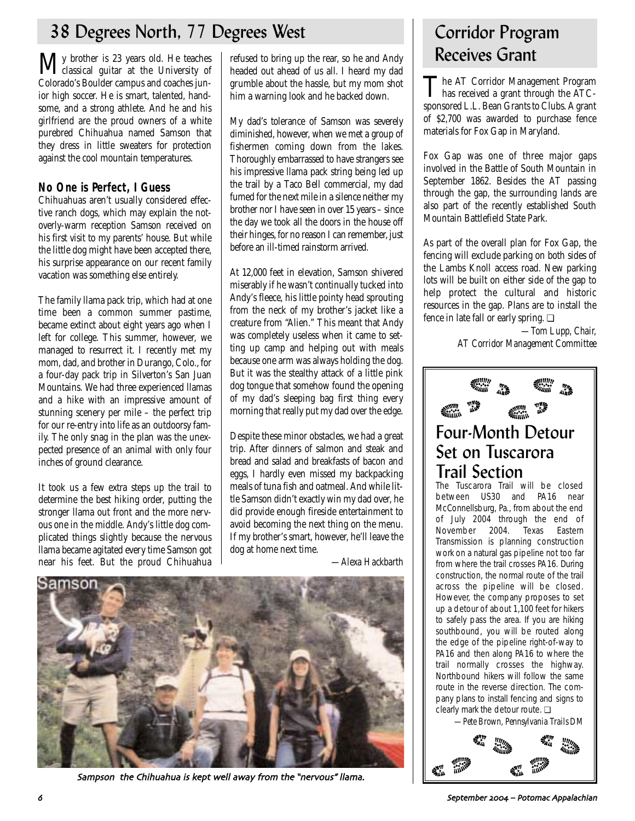## 38 Degrees North, 77 Degrees West Corridor Program

**M**y brother is 23 years old. He teaches Colorado's Boulder campus and coaches junior high soccer. He is smart, talented, handsome, and a strong athlete. And he and his girlfriend are the proud owners of a white purebred Chihuahua named Samson that they dress in little sweaters for protection against the cool mountain temperatures.

### **No One is Perfect, I Guess**

Chihuahuas aren't usually considered effective ranch dogs, which may explain the notoverly-warm reception Samson received on his first visit to my parents' house. But while the little dog might have been accepted there, his surprise appearance on our recent family vacation was something else entirely.

The family llama pack trip, which had at one time been a common summer pastime, became extinct about eight years ago when I left for college. This summer, however, we managed to resurrect it. I recently met my mom, dad, and brother in Durango, Colo., for a four-day pack trip in Silverton's San Juan Mountains. We had three experienced llamas and a hike with an impressive amount of stunning scenery per mile – the perfect trip for our re-entry into life as an outdoorsy family. The only snag in the plan was the unexpected presence of an animal with only four inches of ground clearance.

It took us a few extra steps up the trail to determine the best hiking order, putting the stronger llama out front and the more nervous one in the middle. Andy's little dog complicated things slightly because the nervous llama became agitated every time Samson got near his feet. But the proud Chihuahua

refused to bring up the rear, so he and Andy headed out ahead of us all. I heard my dad grumble about the hassle, but my mom shot him a warning look and he backed down.

My dad's tolerance of Samson was severely diminished, however, when we met a group of fishermen coming down from the lakes. Thoroughly embarrassed to have strangers see his impressive llama pack string being led up the trail by a Taco Bell commercial, my dad fumed for the next mile in a silence neither my brother nor I have seen in over 15 years – since the day we took all the doors in the house off their hinges, for no reason I can remember, just before an ill-timed rainstorm arrived.

At 12,000 feet in elevation, Samson shivered miserably if he wasn't continually tucked into Andy's fleece, his little pointy head sprouting from the neck of my brother's jacket like a creature from "Alien." This meant that Andy was completely useless when it came to setting up camp and helping out with meals because one arm was always holding the dog. But it was the stealthy attack of a little pink dog tongue that somehow found the opening of my dad's sleeping bag first thing every morning that really put my dad over the edge.

Despite these minor obstacles, we had a great trip. After dinners of salmon and steak and bread and salad and breakfasts of bacon and eggs, I hardly even missed my backpacking meals of tuna fish and oatmeal. And while little Samson didn't exactly win my dad over, he did provide enough fireside entertainment to avoid becoming the next thing on the menu. If my brother's smart, however, he'll leave the dog at home next time.

*—Alexa Hackbarth*



Sampson the Chihuahua is kept well away from the "nervous" llama.

# Receives Grant

The AT Corridor Management Program has received a grant through the ATCsponsored L.L. Bean Grants to Clubs. A grant of \$2,700 was awarded to purchase fence materials for Fox Gap in Maryland.

Fox Gap was one of three major gaps involved in the Battle of South Mountain in September 1862. Besides the AT passing through the gap, the surrounding lands are also part of the recently established South Mountain Battlefield State Park.

As part of the overall plan for Fox Gap, the fencing will exclude parking on both sides of the Lambs Knoll access road. New parking lots will be built on either side of the gap to help protect the cultural and historic resources in the gap. Plans are to install the fence in late fall or early spring. ❏

> *—Tom Lupp, Chair, AT Corridor Management Committee*



## Four-Month Detour Set on Tuscarora Trail Section

The Tuscarora Trail will be closed between US30 and PA16 near McConnellsburg, Pa., from about the end of July 2004 through the end of November 2004. Texas Eastern Transmission is planning construction work on a natural gas pipeline not too far from where the trail crosses PA16. During construction, the normal route of the trail across the pipeline will be closed. However, the company proposes to set up a detour of about 1,100 feet for hikers to safely pass the area. If you are hiking southbound, you will be routed along the edge of the pipeline right-of-way to PA16 and then along PA16 to where the trail normally crosses the highway. Northbound hikers will follow the same route in the reverse direction. The company plans to install fencing and signs to clearly mark the detour route. ❏

*—Pete Brown, Pennsylvania Trails DM*

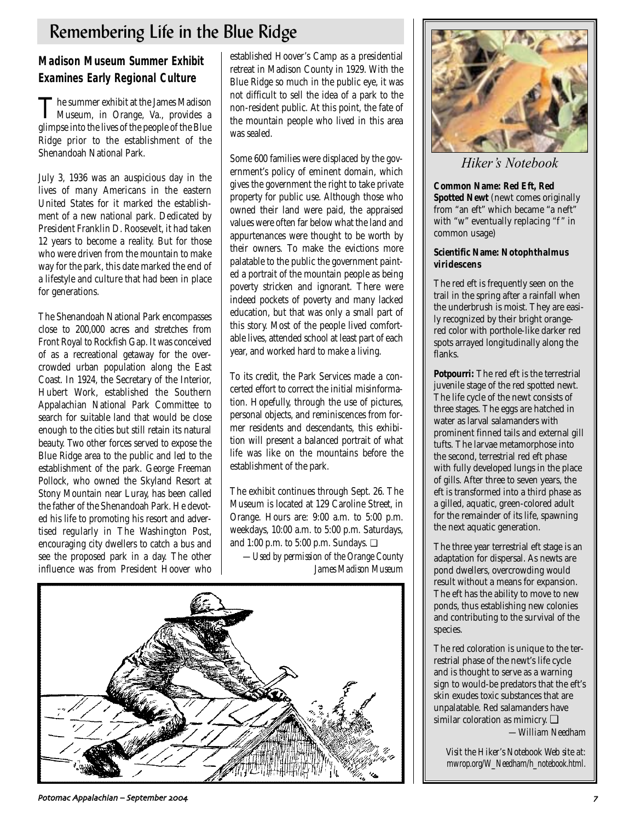## Remembering Life in the Blue Ridge

## **Madison Museum Summer Exhibit Examines Early Regional Culture**

The summer exhibit at the James Madison Museum, in Orange, Va., provides a glimpse into the lives of the people of the Blue Ridge prior to the establishment of the Shenandoah National Park.

July 3, 1936 was an auspicious day in the lives of many Americans in the eastern United States for it marked the establishment of a new national park. Dedicated by President Franklin D. Roosevelt, it had taken 12 years to become a reality. But for those who were driven from the mountain to make way for the park, this date marked the end of a lifestyle and culture that had been in place for generations.

The Shenandoah National Park encompasses close to 200,000 acres and stretches from Front Royal to Rockfish Gap. It was conceived of as a recreational getaway for the overcrowded urban population along the East Coast. In 1924, the Secretary of the Interior, Hubert Work, established the Southern Appalachian National Park Committee to search for suitable land that would be close enough to the cities but still retain its natural beauty. Two other forces served to expose the Blue Ridge area to the public and led to the establishment of the park. George Freeman Pollock, who owned the Skyland Resort at Stony Mountain near Luray, has been called the father of the Shenandoah Park. He devoted his life to promoting his resort and advertised regularly in The Washington Post, encouraging city dwellers to catch a bus and see the proposed park in a day. The other influence was from President Hoover who

established Hoover's Camp as a presidential retreat in Madison County in 1929. With the Blue Ridge so much in the public eye, it was not difficult to sell the idea of a park to the non-resident public. At this point, the fate of the mountain people who lived in this area was sealed.

Some 600 families were displaced by the government's policy of eminent domain, which gives the government the right to take private property for public use. Although those who owned their land were paid, the appraised values were often far below what the land and appurtenances were thought to be worth by their owners. To make the evictions more palatable to the public the government painted a portrait of the mountain people as being poverty stricken and ignorant. There were indeed pockets of poverty and many lacked education, but that was only a small part of this story. Most of the people lived comfortable lives, attended school at least part of each year, and worked hard to make a living.

To its credit, the Park Services made a concerted effort to correct the initial misinformation. Hopefully, through the use of pictures, personal objects, and reminiscences from former residents and descendants, this exhibition will present a balanced portrait of what life was like on the mountains before the establishment of the park.

The exhibit continues through Sept. 26. The Museum is located at 129 Caroline Street, in Orange. Hours are: 9:00 a.m. to 5:00 p.m. weekdays, 10:00 a.m. to 5:00 p.m. Saturdays, and 1:00 p.m. to 5:00 p.m. Sundays. ❏

*—Used by permission of the Orange County James Madison Museum*





*Hiker's Notebook*

**Common Name: Red Eft, Red Spotted Newt** (newt comes originally from "an eft" which became "a neft" with "w" eventually replacing "f " in common usage)

### **Scientific Name: Notophthalmus viridescens**

The red eft is frequently seen on the trail in the spring after a rainfall when the underbrush is moist. They are easily recognized by their bright orangered color with porthole-like darker red spots arrayed longitudinally along the flanks.

**Potpourri:** The red eft is the terrestrial juvenile stage of the red spotted newt. The life cycle of the newt consists of three stages. The eggs are hatched in water as larval salamanders with prominent finned tails and external gill tufts. The larvae metamorphose into the second, terrestrial red eft phase with fully developed lungs in the place of gills. After three to seven years, the eft is transformed into a third phase as a gilled, aquatic, green-colored adult for the remainder of its life, spawning the next aquatic generation.

The three year terrestrial eft stage is an adaptation for dispersal. As newts are pond dwellers, overcrowding would result without a means for expansion. The eft has the ability to move to new ponds, thus establishing new colonies and contributing to the survival of the species.

The red coloration is unique to the terrestrial phase of the newt's life cycle and is thought to serve as a warning sign to would-be predators that the eft's skin exudes toxic substances that are unpalatable. Red salamanders have similar coloration as mimicry. ❏

*—William Needham*

*Visit the Hiker's Notebook Web site at: mwrop.org/W\_Needham/h\_notebook.html.*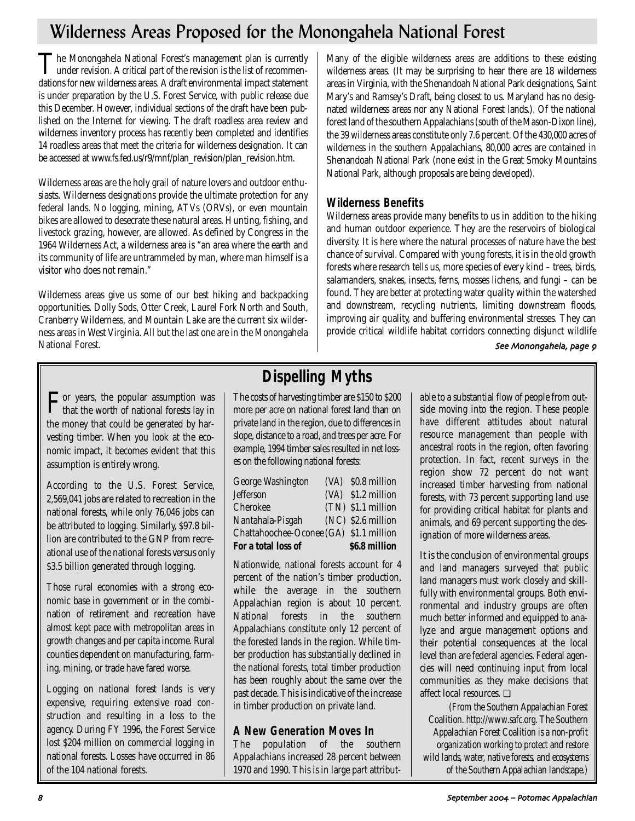## Wilderness Areas Proposed for the Monongahela National Forest

The Monongahela National Forest's management plan is currently<br>under revision. A critical part of the revision is the list of recommendations for new wilderness areas. A draft environmental impact statement is under preparation by the U.S. Forest Service, with public release due this December. However, individual sections of the draft have been published on the Internet for viewing. The draft roadless area review and wilderness inventory process has recently been completed and identifies 14 roadless areas that meet the criteria for wilderness designation. It can be accessed at www.fs.fed.us/r9/mnf/plan\_revision/plan\_revision.htm.

Wilderness areas are the holy grail of nature lovers and outdoor enthusiasts. Wilderness designations provide the ultimate protection for any federal lands. No logging, mining, ATVs (ORVs), or even mountain bikes are allowed to desecrate these natural areas. Hunting, fishing, and livestock grazing, however, are allowed. As defined by Congress in the 1964 Wilderness Act, a wilderness area is "an area where the earth and its community of life are untrammeled by man, where man himself is a visitor who does not remain."

Wilderness areas give us some of our best hiking and backpacking opportunities. Dolly Sods, Otter Creek, Laurel Fork North and South, Cranberry Wilderness, and Mountain Lake are the current six wilderness areas in West Virginia. All but the last one are in the Monongahela National Forest.

Many of the eligible wilderness areas are additions to these existing wilderness areas. (It may be surprising to hear there are 18 wilderness areas in Virginia, with the Shenandoah National Park designations, Saint Mary's and Ramsey's Draft, being closest to us. Maryland has no designated wilderness areas nor any National Forest lands.). Of the national forest land of the southern Appalachians (south of the Mason-Dixon line), the 39 wilderness areas constitute only 7.6 percent. Of the 430,000 acres of wilderness in the southern Appalachians, 80,000 acres are contained in Shenandoah National Park (none exist in the Great Smoky Mountains National Park, although proposals are being developed).

## **Wilderness Benefits**

Wilderness areas provide many benefits to us in addition to the hiking and human outdoor experience. They are the reservoirs of biological diversity. It is here where the natural processes of nature have the best chance of survival. Compared with young forests, it is in the old growth forests where research tells us, more species of every kind – trees, birds, salamanders, snakes, insects, ferns, mosses lichens, and fungi – can be found. They are better at protecting water quality within the watershed and downstream, recycling nutrients, limiting downstream floods, improving air quality, and buffering environmental stresses. They can provide critical wildlife habitat corridors connecting disjunct wildlife

### See Monongahela, page 9

 $\mathbf{F}^\text{or}$  years, the popular assumption was that the worth of national forests lay in the money that could be generated by harvesting timber. When you look at the economic impact, it becomes evident that this assumption is entirely wrong.

According to the U.S. Forest Service, 2,569,041 jobs are related to recreation in the national forests, while only 76,046 jobs can be attributed to logging. Similarly, \$97.8 billion are contributed to the GNP from recreational use of the national forests versus only \$3.5 billion generated through logging.

Those rural economies with a strong economic base in government or in the combination of retirement and recreation have almost kept pace with metropolitan areas in growth changes and per capita income. Rural counties dependent on manufacturing, farming, mining, or trade have fared worse.

Logging on national forest lands is very expensive, requiring extensive road construction and resulting in a loss to the agency. During FY 1996, the Forest Service lost \$204 million on commercial logging in national forests. Losses have occurred in 86 of the 104 national forests.

## **Dispelling Myths**

The costs of harvesting timber are \$150 to \$200 more per acre on national forest land than on private land in the region, due to differences in slope, distance to a road, and trees per acre. For example, 1994 timber sales resulted in net losses on the following national forests:

| George Washington                       | (VA) \$0.8 million |
|-----------------------------------------|--------------------|
| <b>Jefferson</b>                        | (VA) \$1.2 million |
| Cherokee                                | (TN) \$1.1 million |
| Nantahala-Pisgah                        | (NC) \$2.6 million |
| Chattahoochee-Oconee (GA) \$1.1 million |                    |
| For a total loss of                     | \$6.8 million      |

Nationwide, national forests account for 4 percent of the nation's timber production, while the average in the southern Appalachian region is about 10 percent. National forests in the southern Appalachians constitute only 12 percent of the forested lands in the region. While timber production has substantially declined in the national forests, total timber production has been roughly about the same over the past decade. This is indicative of the increase in timber production on private land.

### **A New Generation Moves In**

The population of the southern Appalachians increased 28 percent between 1970 and 1990. This is in large part attribut-

able to a substantial flow of people from outside moving into the region. These people have different attitudes about natural resource management than people with ancestral roots in the region, often favoring protection. In fact, recent surveys in the region show 72 percent do not want increased timber harvesting from national forests, with 73 percent supporting land use for providing critical habitat for plants and animals, and 69 percent supporting the designation of more wilderness areas.

It is the conclusion of environmental groups and land managers surveyed that public land managers must work closely and skillfully with environmental groups. Both environmental and industry groups are often much better informed and equipped to analyze and argue management options and their potential consequences at the local level than are federal agencies. Federal agencies will need continuing input from local communities as they make decisions that affect local resources. ❏

*(From the Southern Appalachian Forest Coalition. http://www.safc.org. The Southern Appalachian Forest Coalition is a non-profit organization working to protect and restore wild lands, water, native forests, and ecosystems of the Southern Appalachian landscape.)*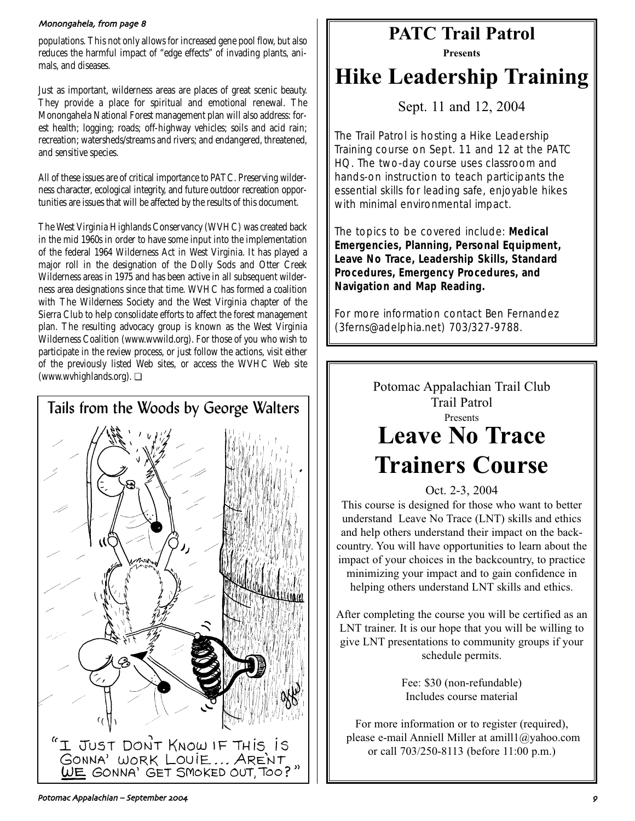#### Monongahela, from page 8

populations. This not only allows for increased gene pool flow, but also reduces the harmful impact of "edge effects" of invading plants, animals, and diseases.

Just as important, wilderness areas are places of great scenic beauty. They provide a place for spiritual and emotional renewal. The Monongahela National Forest management plan will also address: forest health; logging; roads; off-highway vehicles; soils and acid rain; recreation; watersheds/streams and rivers; and endangered, threatened, and sensitive species.

All of these issues are of critical importance to PATC. Preserving wilderness character, ecological integrity, and future outdoor recreation opportunities are issues that will be affected by the results of this document.

The West Virginia Highlands Conservancy (WVHC) was created back in the mid 1960s in order to have some input into the implementation of the federal 1964 Wilderness Act in West Virginia. It has played a major roll in the designation of the Dolly Sods and Otter Creek Wilderness areas in 1975 and has been active in all subsequent wilderness area designations since that time. WVHC has formed a coalition with The Wilderness Society and the West Virginia chapter of the Sierra Club to help consolidate efforts to affect the forest management plan. The resulting advocacy group is known as the West Virginia Wilderness Coalition (www.wvwild.org). For those of you who wish to participate in the review process, or just follow the actions, visit either of the previously listed Web sites, or access the WVHC Web site (www.wvhighlands.org). ❏



## **PATC Trail Patrol**

**Presents**

## **Hike Leadership Training**

Sept. 11 and 12, 2004

The Trail Patrol is hosting a Hike Leadership Training course on Sept. 11 and 12 at the PATC HQ. The two-day course uses classroom and hands-on instruction to teach participants the essential skills for leading safe, enjoyable hikes with minimal environmental impact.

The topics to be covered include: **Medical Emergencies, Planning, Personal Equipment, Leave No Trace, Leadership Skills, Standard Procedures, Emergency Procedures, and Navigation and Map Reading.**

For more information contact Ben Fernandez (3ferns@adelphia.net) 703/327-9788.

> Potomac Appalachian Trail Club Trail Patrol Presents **Leave No Trace Trainers Course**

> > Oct. 2-3, 2004

This course is designed for those who want to better understand Leave No Trace (LNT) skills and ethics and help others understand their impact on the backcountry. You will have opportunities to learn about the impact of your choices in the backcountry, to practice minimizing your impact and to gain confidence in helping others understand LNT skills and ethics.

After completing the course you will be certified as an LNT trainer. It is our hope that you will be willing to give LNT presentations to community groups if your schedule permits.

> Fee: \$30 (non-refundable) Includes course material

For more information or to register (required), please e-mail Anniell Miller at amill1@yahoo.com or call 703/250-8113 (before 11:00 p.m.)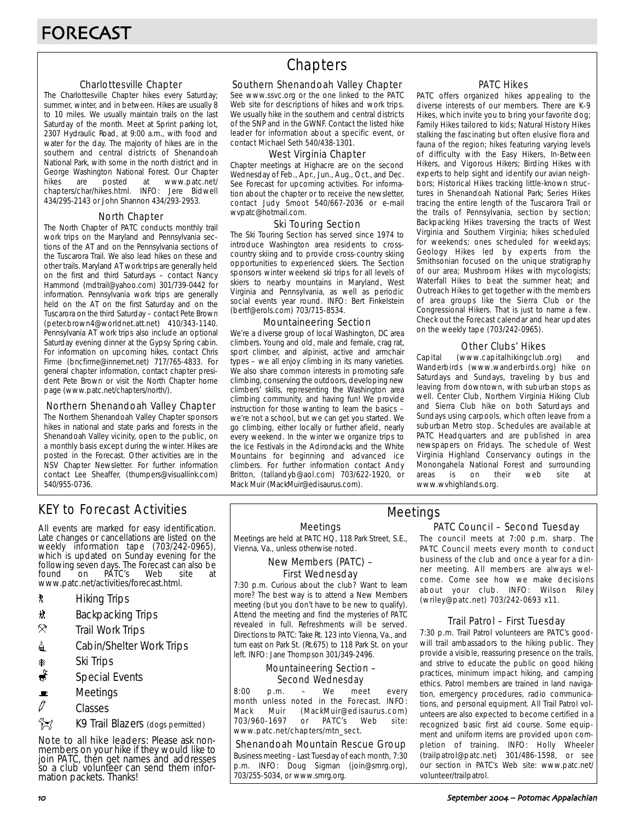#### Charlottesville Chapter

The Charlottesville Chapter hikes every Saturday; summer, winter, and in between. Hikes are usually 8 to 10 miles. We usually maintain trails on the last Saturday of the month. Meet at Sprint parking lot, 2307 Hydraulic Road, at 9:00 a.m., with food and water for the day. The majority of hikes are in the southern and central districts of Shenandoah National Park, with some in the north district and in George Washington National Forest. Our Chapter<br>hikes are posted at www.patc.net/ hikes are posted at www.patc.net/ chapters/char/hikes.html. INFO: Jere Bidwell 434/295-2143 or John Shannon 434/293-2953.

#### North Chapter

The North Chapter of PATC conducts monthly trail work trips on the Maryland and Pennsylvania sections of the AT and on the Pennsylvania sections of the Tuscarora Trail. We also lead hikes on these and other trails. Maryland AT work trips are generally held on the first and third Saturdays – contact Nancy Hammond (mdtrail@yahoo.com) 301/739-0442 for information. Pennsylvania work trips are generally held on the AT on the first Saturday and on the Tuscarora on the third Saturday – contact Pete Brown (peter.brown4@worldnet.att.net) 410/343-1140. Pennsylvania AT work trips also include an optional Saturday evening dinner at the Gypsy Spring cabin. For information on upcoming hikes, contact Chris Firme (bncfirme@innernet.net) 717/765-4833. For general chapter information, contact chapter president Pete Brown or visit the North Chapter home page (www.patc.net/chapters/north/).

#### Northern Shenandoah Valley Chapter

The Northern Shenandoah Valley Chapter sponsors hikes in national and state parks and forests in the Shenandoah Valley vicinity, open to the public, on a monthly basis except during the winter. Hikes are posted in the Forecast. Other activities are in the NSV Chapter Newsletter. For further information contact Lee Sheaffer, (thumpers@visuallink.com) 540/955-0736.

## **Chapters**

#### Southern Shenandoah Valley Chapter

See www.ssvc.org or the one linked to the PATC Web site for descriptions of hikes and work trips. We usually hike in the southern and central districts of the SNP and in the GWNF. Contact the listed hike leader for information about a specific event, or contact Michael Seth 540/438-1301.

#### West Virginia Chapter

Chapter meetings at Highacre are on the second Wednesday of Feb., Apr., Jun., Aug., Oct., and Dec. See Forecast for upcoming activities. For information about the chapter or to receive the newsletter, contact Judy Smoot 540/667-2036 or e-mail wvpatc@hotmail.com.

#### Ski Touring Section

The Ski Touring Section has served since 1974 to introduce Washington area residents to crosscountry skiing and to provide cross-country skiing opportunities to experienced skiers. The Section sponsors winter weekend ski trips for all levels of skiers to nearby mountains in Maryland, West Virginia and Pennsylvania, as well as periodic social events year round. INFO: Bert Finkelstein (bertf@erols.com) 703/715-8534.

#### Mountaineering Section

We're a diverse group of local Washington, DC area climbers. Young and old, male and female, crag rat, sport climber, and alpinist, active and armchair types – we all enjoy climbing in its many varieties. We also share common interests in promoting safe climbing, conserving the outdoors, developing new climbers' skills, representing the Washington area climbing community, and having fun! We provide instruction for those wanting to learn the basics – we're not a school, but we can get you started. We go climbing, either locally or further afield, nearly every weekend. In the winter we organize trips to the Ice Festivals in the Adirondacks and the White Mountains for beginning and advanced ice climbers. For further information contact Andy Britton, (tallandyb@aol.com) 703/622-1920, or Mack Muir (MackMuir@edisaurus.com).

#### PATC Hikes

PATC offers organized hikes appealing to the diverse interests of our members. There are K-9 Hikes, which invite you to bring your favorite dog; Family Hikes tailored to kids; Natural History Hikes stalking the fascinating but often elusive flora and fauna of the region; hikes featuring varying levels of difficulty with the Easy Hikers, In-Between Hikers, and Vigorous Hikers; Birding Hikes with experts to help sight and identify our avian neighbors; Historical Hikes tracking little-known structures in Shenandoah National Park; Series Hikes tracing the entire length of the Tuscarora Trail or the trails of Pennsylvania, section by section; Backpacking Hikes traversing the tracts of West Virginia and Southern Virginia; hikes scheduled for weekends; ones scheduled for weekdays; Geology Hikes led by experts from the Smithsonian focused on the unique stratigraphy of our area; Mushroom Hikes with mycologists; Waterfall Hikes to beat the summer heat; and Outreach Hikes to get together with the members of area groups like the Sierra Club or the Congressional Hikers. That is just to name a few. Check out the Forecast calendar and hear updates on the weekly tape (703/242-0965).

#### Other Clubs' Hikes

Capital (www.capitalhikingclub.org) and Wanderbirds (www.wanderbirds.org) hike on Saturdays and Sundays, traveling by bus and leaving from downtown, with suburban stops as well. Center Club, Northern Virginia Hiking Club and Sierra Club hike on both Saturdays and Sundays using carpools, which often leave from a suburban Metro stop. Schedules are available at PATC Headquarters and are published in area newspapers on Fridays. The schedule of West Virginia Highland Conservancy outings in the Monongahela National Forest and surrounding<br>areas is on their web site at areas is on their web site at www.wvhighlands.org.

## KEY to Forecast Activities

All events are marked for easy identification. Late changes or cancellations are listed on the weekly information tape (703/242-0965), which is updated on Sunday evening for the following seven days. The Forecast can also be<br>found on PATC's Web site at PÁTC's www.patc.net/activities/forecast.html.

- **\*** Hiking Trips
- \* Backpacking Trips
- $\mathcal{R}$  Trail Work Trips
- **i** Cabin/Shelter Work Trips
- \* Ski Trips
- Special Events
- $\blacksquare$  Meetings
- $\varnothing$  Classes
- $\frac{2}{3}$  K9 Trail Blazers (dogs permitted)

Note to all hike leaders: Please ask nonmembers on your hike if they would like to join PATC, then get names and addresses so a club volunteer can send them information packets. Thanks!

#### Meetings

Meetings are held at PATC HQ, 118 Park Street, S.E., Vienna, Va., unless otherwise noted.

#### New Members (PATC) – First Wednesday

7:30 p.m. Curious about the club? Want to learn more? The best way is to attend a New Members meeting (but you don't have to be new to qualify). Attend the meeting and find the mysteries of PATC revealed in full. Refreshments will be served. Directions to PATC: Take Rt. 123 into Vienna, Va., and turn east on Park St. (Rt.675) to 118 Park St. on your left. INFO: Jane Thompson 301/349-2496.

#### Mountaineering Section – Second Wednesday

8:00 p.m. – We meet every month unless noted in the Forecast. INFO: Mack Muir (MackMuir@edisaurus.com) 703/960-1697 or PATC's Web site: www.patc.net/chapters/mtn\_sect.

#### Shenandoah Mountain Rescue Group

Business meeting - Last Tuesday of each month, 7:30 p.m. INFO: Doug Sigman (join@smrg.org), 703/255-5034, or www.smrg.org.

### PATC Council – Second Tuesday Meetings

The council meets at 7:00 p.m. sharp. The PATC Council meets every month to conduct business of the club and once a year for a dinner meeting. All members are always welcome. Come see how we make decisions about your club. INFO: Wilson Riley (wriley@patc.net) 703/242-0693 x11.

#### Trail Patrol – First Tuesday

7:30 p.m. Trail Patrol volunteers are PATC's goodwill trail ambassadors to the hiking public. They provide a visible, reassuring presence on the trails, and strive to educate the public on good hiking practices, minimum impact hiking, and camping ethics. Patrol members are trained in land navigation, emergency procedures, radio communications, and personal equipment. All Trail Patrol volunteers are also expected to become certified in a recognized basic first aid course. Some equipment and uniform items are provided upon completion of training. INFO: Holly Wheeler (trailpatrol@patc.net) 301/486-1598, or see our section in PATC's Web site: www.patc.net/ volunteer/trailpatrol.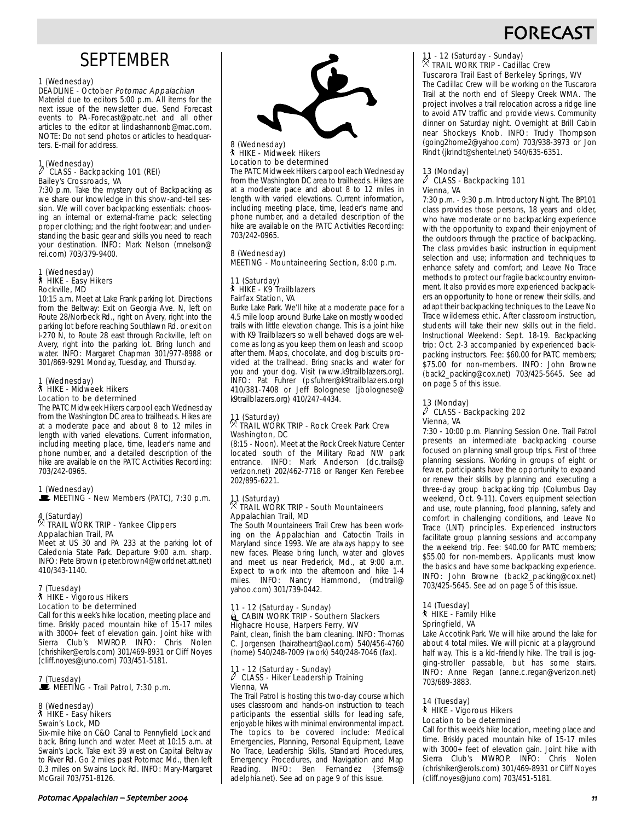## **FORECAS**

## **SEPTEMBER**

#### 1 (Wednesday)

#### DEADLINE - October Potomac Appalachian

Material due to editors 5:00 p.m. All items for the next issue of the newsletter due. Send Forecast events to PA-Forecast@patc.net and all other articles to the editor at lindashannonb@mac.com. NOTE: Do not send photos or articles to headquarters. E-mail for address.

#### 1 (Wednesday) CLASS - Backpacking 101 (REI) Bailey's Crossroads, VA

7:30 p.m. Take the mystery out of Backpacking as we share our knowledge in this show-and-tell session. We will cover backpacking essentials: choosing an internal or external-frame pack; selecting proper clothing; and the right footwear; and understanding the basic gear and skills you need to reach your destination. INFO: Mark Nelson (mnelson@ rei.com) 703/379-9400.

#### 1 (Wednesday) **A** HIKE - Easy Hikers Rockville, MD

10:15 a.m. Meet at Lake Frank parking lot. Directions from the Beltway: Exit on Georgia Ave. N, left on Route 28/Norbeck Rd., right on Avery, right into the parking lot before reaching Southlawn Rd. or exit on I-270 N, to Route 28 east through Rockville, left on Avery, right into the parking lot. Bring lunch and water. INFO: Margaret Chapman 301/977-8988 or 301/869-9291 Monday, Tuesday, and Thursday.

#### 1 (Wednesday) ` HIKE - Midweek Hikers Location to be determined

The PATC Midweek Hikers carpool each Wednesday from the Washington DC area to trailheads. Hikes are at a moderate pace and about 8 to 12 miles in length with varied elevations. Current information, including meeting place, time, leader's name and phone number, and a detailed description of the hike are available on the PATC Activities Recording: 703/242-0965.

#### 1 (Wednesday) MEETING - New Members (PATC), 7:30 p.m.

### 4 (Saturday) . TRAIL WORK TRIP - Yankee Clippers Appalachian Trail, PA

Meet at US 30 and PA 233 at the parking lot of Caledonia State Park. Departure 9:00 a.m. sharp. INFO: Pete Brown (peter.brown4@worldnet.att.net) 410/343-1140.

#### 7 (Tuesday) ` HIKE - Vigorous Hikers Location to be determined

Call for this week's hike location, meeting place and time. Briskly paced mountain hike of 15-17 miles with 3000+ feet of elevation gain. Joint hike with Sierra Club's MWROP. INFO: Chris Nolen (chrishiker@erols.com) 301/469-8931 or Cliff Noyes (cliff.noyes@juno.com) 703/451-5181.

## 7 (Tuesday)<br>■ MEETING - Trail Patrol, 7:30 p.m.

#### 8 (Wednesday) ` HIKE - Easy hikers Swain's Lock, MD

Six-mile hike on C&O Canal to Pennyfield Lock and back. Bring lunch and water. Meet at 10:15 a.m. at Swain's Lock. Take exit 39 west on Capital Beltway to River Rd. Go 2 miles past Potomac Md., then left 0.3 miles on Swains Lock Rd. INFO: Mary-Margaret McGrail 703/751-8126.



#### 8 (Wednesday) ` HIKE - Midweek Hikers Location to be determined

The PATC Midweek Hikers carpool each Wednesday from the Washington DC area to trailheads. Hikes are at a moderate pace and about 8 to 12 miles in length with varied elevations. Current information, including meeting place, time, leader's name and phone number, and a detailed description of the hike are available on the PATC Activities Recording: 703/242-0965.

### 8 (Wednesday) MEETING - Mountaineering Section, 8:00 p.m.

#### 11 (Saturday) ` HIKE - K9 Trailblazers Fairfax Station, VA

Burke Lake Park. We'll hike at a moderate pace for a 4.5 mile loop around Burke Lake on mostly wooded trails with little elevation change. This is a joint hike with K9 Trailblazers so well behaved dogs are welcome as long as you keep them on leash and scoop after them. Maps, chocolate, and dog biscuits provided at the trailhead. Bring snacks and water for you and your dog. Visit (www.k9trailblazers.org). INFO: Pat Fuhrer (psfuhrer@k9trailblazers.org) 410/381-7408 or Jeff Bolognese (jbolognese@ k9trailblazers.org) 410/247-4434.

## 11 (Saturday) . TRAIL WORK TRIP - Rock Creek Park Crew Washington, DC

(8:15 - Noon). Meet at the Rock Creek Nature Center located south of the Military Road NW park entrance. INFO: Mark Anderson (dc.trails@ verizon.net) 202/462-7718 or Ranger Ken Ferebee 202/895-6221.

#### 11 (Saturday)<br>X That . TRAIL WORK TRIP - South Mountaineers Appalachian Trail, MD

The South Mountaineers Trail Crew has been working on the Appalachian and Catoctin Trails in Maryland since 1993. We are always happy to see new faces. Please bring lunch, water and gloves and meet us near Frederick, Md., at 9:00 a.m. Expect to work into the afternoon and hike 1-4 miles. INFO: Nancy Hammond, (mdtrail@ yahoo.com) 301/739-0442.

## 11 - 12 (Saturday - Sunday) <sup>i</sup>CABIN WORK TRIP - Southern Slackers Highacre House, Harpers Ferry, WV

Paint, clean, finish the barn cleaning. INFO: Thomas C. Jorgensen (hairatheart@aol.com) 540/456-4760 (home) 540/248-7009 (work) 540/248-7046 (fax).

#### 11 - 12 (Saturday - Sunday)<br>*CLASS - Hilos Landay*) CLASS - Hiker Leadership Training Vienna, VA

The Trail Patrol is hosting this two-day course which uses classroom and hands-on instruction to teach participants the essential skills for leading safe, enjoyable hikes with minimal environmental impact. The topics to be covered include: Medical Emergencies, Planning, Personal Equipment, Leave No Trace, Leadership Skills, Standard Procedures, Emergency Procedures, and Navigation and Map Reading. INFO: Ben Fernandez (3ferns@ adelphia.net). See ad on page 9 of this issue.

## 11 - 12 (Saturday - Sunday) . TRAIL WORK TRIP - Cadillac Crew Tuscarora Trail East of Berkeley Springs, WV

The Cadillac Crew will be working on the Tuscarora Trail at the north end of Sleepy Creek WMA. The project involves a trail relocation across a ridge line to avoid ATV traffic and provide views. Community dinner on Saturday night. Overnight at Brill Cabin near Shockeys Knob. INFO: Trudy Thompson (going2home2@yahoo.com) 703/938-3973 or Jon Rindt (jkrindt@shentel.net) 540/635-6351.

### 13 (Monday) a CLASS - Backpacking 101 Vienna, VA

7:30 p.m. - 9:30 p.m. Introductory Night. The BP101 class provides those persons, 18 years and older, who have moderate or no backpacking experience with the opportunity to expand their enjoyment of the outdoors through the practice of backpacking. The class provides basic instruction in equipment selection and use; information and techniques to enhance safety and comfort; and Leave No Trace methods to protect our fragile backcountry environment. It also provides more experienced backpackers an opportunity to hone or renew their skills, and adapt their backpacking techniques to the Leave No Trace wilderness ethic. After classroom instruction, students will take their new skills out in the field. Instructional Weekend: Sept. 18-19. Backpacking trip: Oct. 2-3 accompanied by experienced backpacking instructors. Fee: \$60.00 for PATC members; \$75.00 for non-members. INFO: John Browne (back2\_packing@cox.net) 703/425-5645. See ad on page 5 of this issue.

## 13 (Monday) a CLASS - Backpacking 202 Vienna, VA

7:30 - 10:00 p.m. Planning Session One. Trail Patrol presents an intermediate backpacking course focused on planning small group trips. First of three planning sessions. Working in groups of eight or fewer, participants have the opportunity to expand or renew their skills by planning and executing a three-day group backpacking trip (Columbus Day weekend, Oct. 9-11). Covers equipment selection and use, route planning, food planning, safety and comfort in challenging conditions, and Leave No Trace (LNT) principles. Experienced instructors facilitate group planning sessions and accompany the weekend trip. Fee: \$40.00 for PATC members; \$55.00 for non-members. Applicants must know the basics and have some backpacking experience. INFO: John Browne (back2\_packing@cox.net) 703/425-5645. See ad on page 5 of this issue.

#### 14 (Tuesday) ` HIKE - Family Hike Springfield, VA

Lake Accotink Park. We will hike around the lake for about 4 total miles. We will picnic at a playground half way. This is a kid-friendly hike. The trail is jogging-stroller passable, but has some stairs. INFO: Anne Regan (anne.c.regan@verizon.net) 703/689-3883.

### 14 (Tuesday) ` HIKE - Vigorous Hikers

Location to be determined

Call for this week's hike location, meeting place and time. Briskly paced mountain hike of 15-17 miles with 3000+ feet of elevation gain. Joint hike with Sierra Club's MWROP. INFO: Chris Nolen (chrishiker@erols.com) 301/469-8931 or Cliff Noyes (cliff.noyes@juno.com) 703/451-5181.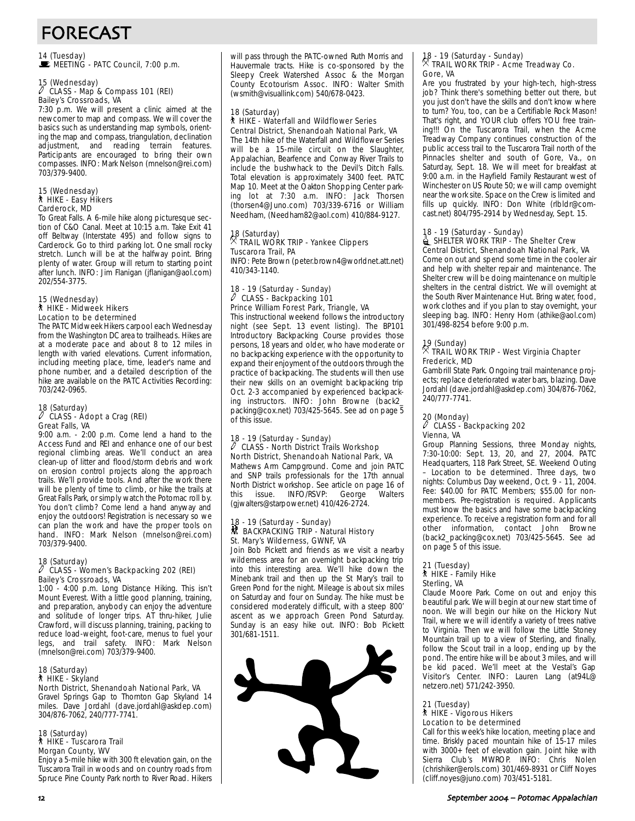## FORECAST

14 (Tuesday)<br>WE MEETING - PATC Council, 7:00 p.m.

## 15 (Wednesday) a CLASS - Map & Compass 101 (REI) Bailey's Crossroads, VA

7:30 p.m. We will present a clinic aimed at the newcomer to map and compass. We will cover the basics such as understanding map symbols, orienting the map and compass, triangulation, declination adjustment, and reading terrain features. Participants are encouraged to bring their own compasses. INFO: Mark Nelson (mnelson@rei.com) 703/379-9400.

#### 15 (Wednesday) ` HIKE - Easy Hikers Carderock, MD

To Great Falls. A 6-mile hike along picturesque section of C&O Canal. Meet at 10:15 a.m. Take Exit 41 off Beltway (Interstate 495) and follow signs to Carderock. Go to third parking lot. One small rocky stretch. Lunch will be at the halfway point. Bring plenty of water. Group will return to starting point after lunch. INFO: Jim Flanigan (jflanigan@aol.com) 202/554-3775.

#### 15 (Wednesday) ` HIKE - Midweek Hikers Location to be determined

The PATC Midweek Hikers carpool each Wednesday from the Washington DC area to trailheads. Hikes are at a moderate pace and about 8 to 12 miles in length with varied elevations. Current information, including meeting place, time, leader's name and phone number, and a detailed description of the hike are available on the PATC Activities Recording: 703/242-0965.

#### 18 (Saturday) CLASS - Adopt a Crag (REI) Great Falls, VA

9:00 a.m. - 2:00 p.m. Come lend a hand to the Access Fund and REI and enhance one of our best regional climbing areas. We'll conduct an area clean-up of litter and flood/storm debris and work on erosion control projects along the approach trails. We'll provide tools. And after the work there will be plenty of time to climb, or hike the trails at Great Falls Park, or simply watch the Potomac roll by. You don't climb? Come lend a hand anyway and enjoy the outdoors! Registration is necessary so we can plan the work and have the proper tools on hand. INFO: Mark Nelson (mnelson@rei.com) 703/379-9400.

#### 18 (Saturday)<br>
<sup>2</sup> CLASS a CLASS - Women's Backpacking 202 (REI) Bailey's Crossroads, VA

1:00 - 4:00 p.m. Long Distance Hiking. This isn't Mount Everest. With a little good planning, training, and preparation, anybody can enjoy the adventure and solitude of longer trips. AT thru-hiker, Julie Crawford, will discuss planning, training, packing to reduce load-weight, foot-care, menus to fuel your legs, and trail safety. INFO: Mark Nelson (mnelson@rei.com) 703/379-9400.

#### 18 (Saturday) ` HIKE - Skyland North District, Shenandoah National Park, VA

Gravel Springs Gap to Thornton Gap Skyland 14 miles. Dave Jordahl (dave.jordahl@askdep.com) 304/876-7062, 240/777-7741.

#### 18 (Saturday) ` HIKE - Tuscarora Trail Morgan County, WV

Enjoy a 5-mile hike with 300 ft elevation gain, on the Tuscarora Trail in woods and on country roads from Spruce Pine County Park north to River Road. Hikers will pass through the PATC-owned Ruth Morris and Hauvermale tracts. Hike is co-sponsored by the Sleepy Creek Watershed Assoc & the Morgan County Ecotourism Assoc. INFO: Walter Smith (wsmith@visuallink.com) 540/678-0423.

### 18 (Saturday)

#### **A** HIKE - Waterfall and Wildflower Series Central District, Shenandoah National Park, VA

The 14th hike of the Waterfall and Wildflower Series will be a 15-mile circuit on the Slaughter, Appalachian, Bearfence and Conway River Trails to include the bushwhack to the Devil's Ditch Falls. Total elevation is approximately 3400 feet. PATC Map 10. Meet at the Oakton Shopping Center parking lot at 7:30 a.m. INFO: Jack Thorsen (thorsen4@Juno.com) 703/339-6716 or William Needham, (Needham82@aol.com) 410/884-9127.

#### 18 (Saturday) . TRAIL WORK TRIP - Yankee Clippers Tuscarora Trail, PA

INFO: Pete Brown (peter.brown4@worldnet.att.net) 410/343-1140.

## 18 - 19 (Saturday - Sunday) a CLASS - Backpacking 101 Prince William Forest Park, Triangle, VA

This instructional weekend follows the introductory night (see Sept. 13 event listing). The BP101 Introductory Backpacking Course provides those persons, 18 years and older, who have moderate or no backpacking experience with the opportunity to expand their enjoyment of the outdoors through the practice of backpacking. The students will then use their new skills on an overnight backpacking trip Oct. 2-3 accompanied by experienced backpacking instructors. INFO: John Browne (back2\_ packing@cox.net) 703/425-5645. See ad on page 5 of this issue.

## 18 - 19 (Saturday - Sunday) a CLASS - North District Trails Workshop North District, Shenandoah National Park, VA

Mathews Arm Campground. Come and join PATC and SNP trails professionals for the 17th annual North District workshop. See article on page 16 of<br>this issue. INFO/RSVP: George Walters issue. INFO/RSVP: George (gjwalters@starpower.net) 410/426-2724.

## 18 - 19 (Saturday - Sunday)<br>M. BACKPACKING TRIP - Natural History St. Mary's Wilderness, GWNF, VA

Join Bob Pickett and friends as we visit a nearby wilderness area for an overnight backpacking trip into this interesting area. We'll hike down the Minebank trail and then up the St Mary's trail to Green Pond for the night. Mileage is about six miles on Saturday and four on Sunday. The hike must be considered moderately difficult, with a steep 800' ascent as we approach Green Pond Saturday. Sunday is an easy hike out. INFO: Bob Pickett 301/681-1511.



## 18 - 19 (Saturday - Sunday) . TRAIL WORK TRIP - Acme Treadway Co. Gore, VA

Are you frustrated by your high-tech, high-stress job? Think there's something better out there, but you just don't have the skills and don't know where to turn? You, too, can be a Certifiable Rock Mason! That's right, and YOUR club offers YOU free training!!! On the Tuscarora Trail, when the Acme Treadway Company continues construction of the public access trail to the Tuscarora Trail north of the Pinnacles shelter and south of Gore, Va., on Saturday, Sept. 18. We will meet for breakfast at 9:00 a.m. in the Hayfield Family Restaurant west of Winchester on US Route 50; we will camp overnight near the work site. Space on the Crew is limited and fills up quickly. INFO: Don White (rlbldr@comcast.net) 804/795-2914 by Wednesday, Sept. 15.

#### 18 - 19 (Saturday - Sunday)  $\triangleq$  SHELTER WORK TRIP - The Shelter Crew Central District, Shenandoah National Park, VA

Come on out and spend some time in the cooler air and help with shelter repair and maintenance. The Shelter crew will be doing maintenance on multiple shelters in the central district. We will overnight at the South River Maintenance Hut. Bring water, food, work clothes and if you plan to stay overnight, your sleeping bag. INFO: Henry Horn (athike@aol.com) 301/498-8254 before 9:00 p.m.

### 19 (Sunday) . TRAIL WORK TRIP - West Virginia Chapter Frederick, MD

Gambrill State Park. Ongoing trail maintenance projects; replace deteriorated water bars, blazing. Dave Jordahl (dave.jordahl@askdep.com) 304/876-7062, 240/777-7741.

### 20 (Monday)

#### $\ell$  CLASS - Backpacking 202 Vienna, VA

Group Planning Sessions, three Monday nights, 7:30-10:00: Sept. 13, 20, and 27, 2004. PATC Headquarters, 118 Park Street, SE. Weekend Outing – Location to be determined. Three days, two nights: Columbus Day weekend, Oct. 9 - 11, 2004. Fee: \$40.00 for PATC Members; \$55.00 for nonmembers. Pre-registration is required. Applicants must know the basics and have some backpacking experience. To receive a registration form and for all other information, contact John Browne (back2\_packing@cox.net) 703/425-5645. See ad on page 5 of this issue.

#### 21 (Tuesday) ` HIKE - Family Hike Sterling, VA

Claude Moore Park. Come on out and enjoy this beautiful park. We will begin at our new start time of noon. We will begin our hike on the Hickory Nut Trail, where we will identify a variety of trees native to Virginia. Then we will follow the Little Stoney Mountain trail up to a view of Sterling, and finally, follow the Scout trail in a loop, ending up by the pond. The entire hike will be about 3 miles, and will be kid paced. We'll meet at the Vestal's Gap Visitor's Center. INFO: Lauren Lang (at94L@ netzero.net) 571/242-3950.

#### 21 (Tuesday) ` HIKE - Vigorous Hikers Location to be determined

Call for this week's hike location, meeting place and time. Briskly paced mountain hike of 15-17 miles with 3000+ feet of elevation gain. Joint hike with Sierra Club's MWROP. INFO: Chris Nolen (chrishiker@erols.com) 301/469-8931 or Cliff Noyes (cliff.noyes@juno.com) 703/451-5181.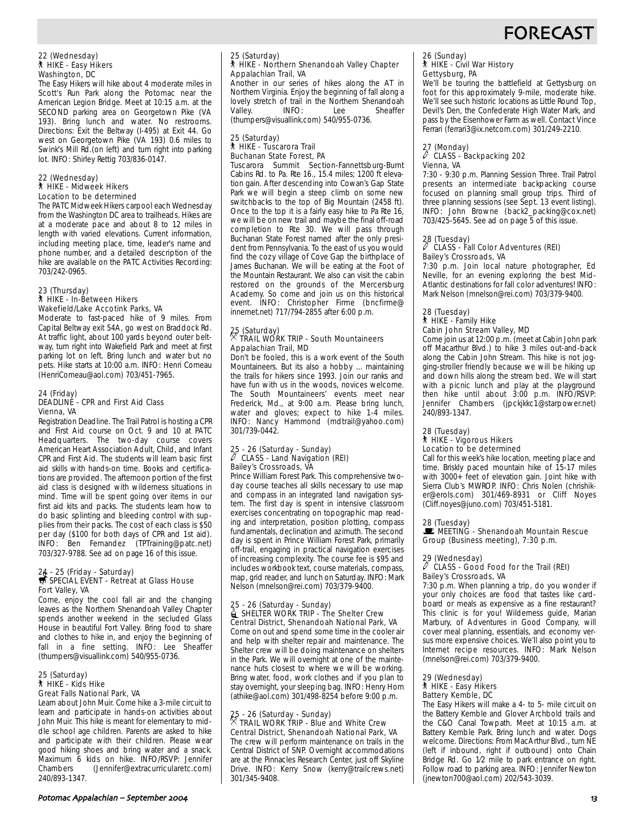

## 22 (Wednesday) ` HIKE - Easy Hikers Washington, DC

The Easy Hikers will hike about 4 moderate miles in Scott's Run Park along the Potomac near the American Legion Bridge. Meet at 10:15 a.m. at the SECOND parking area on Georgetown Pike (VA 193). Bring lunch and water. No restrooms. Directions: Exit the Beltway (I-495) at Exit 44. Go west on Georgetown Pike (VA 193) 0.6 miles to Swink's Mill Rd.(on left) and turn right into parking lot. INFO: Shirley Rettig 703/836-0147.

#### 22 (Wednesday) ` HIKE - Midweek Hikers Location to be determined

The PATC Midweek Hikers carpool each Wednesday from the Washington DC area to trailheads. Hikes are at a moderate pace and about 8 to 12 miles in length with varied elevations. Current information, including meeting place, time, leader's name and phone number, and a detailed description of the hike are available on the PATC Activities Recording: 703/242-0965.

#### 23 (Thursday) ` HIKE - In-Between Hikers Wakefield/Lake Accotink Parks, VA

Moderate to fast-paced hike of 9 miles. From Capital Beltway exit 54A, go west on Braddock Rd. At traffic light, about 100 yards beyond outer beltway, turn right into Wakefield Park and meet at first parking lot on left. Bring lunch and water but no pets. Hike starts at 10:00 a.m. INFO: Henri Comeau (HenriComeau@aol.com) 703/451-7965.

#### 24 (Friday) DEADLINE - CPR and First Aid Class Vienna, VA

Registration Deadline. The Trail Patrol is hosting a CPR and First Aid course on Oct. 9 and 10 at PATC Headquarters. The two-day course covers American Heart Association Adult, Child, and Infant CPR and First Aid. The students will learn basic first aid skills with hands-on time. Books and certifications are provided. The afternoon portion of the first aid class is designed with wilderness situations in mind. Time will be spent going over items in our first aid kits and packs. The students learn how to do basic splinting and bleeding control with supplies from their packs. The cost of each class is \$50 per day (\$100 for both days of CPR and 1st aid). INFO: Ben Fernandez (TPTraining@patc.net) 703/327-9788. See ad on page 16 of this issue.

## 24 - 25 (Friday - Saturday)<br>第 SPECIAL EVENT - Retreat at Glass House Fort Valley, VA

Come, enjoy the cool fall air and the changing leaves as the Northern Shenandoah Valley Chapter spends another weekend in the secluded Glass House in beautiful Fort Valley. Bring food to share and clothes to hike in, and enjoy the beginning of fall in a fine setting. INFO: Lee Sheaffer (thumpers@visuallink.com) 540/955-0736.

#### 25 (Saturday) ` HIKE - Kids Hike Great Falls National Park, VA

Learn about John Muir. Come hike a 3-mile circuit to learn and participate in hands-on activities about John Muir. This hike is meant for elementary to middle school age children. Parents are asked to hike and participate with their children. Please wear good hiking shoes and bring water and a snack. Maximum 6 kids on hike. INFO/RSVP: Jennifer<br>Chambers (Jennifer@extracurricularetc.com) (Jennifer@extracurricularetc.com) 240/893-1347.

### 25 (Saturday) ` HIKE - Northern Shenandoah Valley Chapter Appalachian Trail, VA

Another in our series of hikes along the AT in Northern Virginia. Enjoy the beginning of fall along a lovely stretch of trail in the Northern Shenandoah Valley. (thumpers@visuallink.com) 540/955-0736.

#### 25 (Saturday) ` HIKE - Tuscarora Trail Buchanan State Forest, PA

Tuscarora Summit Section-Fannettsburg-Burnt Cabins Rd. to Pa. Rte 16., 15.4 miles; 1200 ft elevation gain. After descending into Cowan's Gap State Park we will begin a steep climb on some new switchbacks to the top of Big Mountain (2458 ft). Once to the top it is a fairly easy hike to Pa Rte 16, we will be on new trail and maybe the final off-road completion to Rte 30. We will pass through Buchanan State Forest named after the only president from Pennsylvania. To the east of us you would find the cozy village of Cove Gap the birthplace of James Buchanan. We will be eating at the Foot of the Mountain Restaurant. We also can visit the cabin restored on the grounds of the Mercersburg Academy. So come and join us on this historical event. INFO: Christopher Firme (bncfirme@ innernet.net) 717/794-2855 after 6:00 p.m.

## 25 (Saturday) . TRAIL WORK TRIP - South Mountaineers Appalachian Trail, MD

Don't be fooled, this is a work event of the South Mountaineers. But its also a hobby ... maintaining the trails for hikers since 1993. Join our ranks and have fun with us in the woods, novices welcome. The South Mountaineers' events meet near Frederick, Md., at 9:00 a.m. Please bring lunch, water and gloves; expect to hike 1-4 miles. INFO: Nancy Hammond (mdtrail@yahoo.com) 301/739-0442.

## 25 - 26 (Saturday - Sunday) a CLASS - Land Navigation (REI) Bailey's Crossroads, VA

Prince William Forest Park. This comprehensive twoday course teaches all skills necessary to use map and compass in an integrated land navigation system. The first day is spent in intensive classroom exercises concentrating on topographic map reading and interpretation, position plotting, compass fundamentals, declination and azimuth. The second day is spent in Prince William Forest Park, primarily off-trail, engaging in practical navigation exercises of increasing complexity. The course fee is \$95 and includes workbook text, course materials, compass, map, grid reader, and lunch on Saturday. INFO: Mark Nelson (mnelson@rei.com) 703/379-9400.

#### 25 - 26 (Saturday - Sunday) **if** SHELTER WORK TRIP - The Shelter Crew Central District, Shenandoah National Park, VA

Come on out and spend some time in the cooler air and help with shelter repair and maintenance. The Shelter crew will be doing maintenance on shelters in the Park. We will overnight at one of the maintenance huts closest to where we will be working. Bring water, food, work clothes and if you plan to stay overnight, your sleeping bag. INFO: Henry Horn (athike@aol.com) 301/498-8254 before 9:00 p.m.

## 25 - 26 (Saturday - Sunday) . TRAIL WORK TRIP - Blue and White Crew Central District, Shenandoah National Park, VA

The crew will perform maintenance on trails in the Central District of SNP. Overnight accommodations are at the Pinnacles Research Center, just off Skyline Drive. INFO: Kerry Snow (kerry@trailcrews.net) 301/345-9408.

## 26 (Sunday) ` HIKE - Civil War History Gettysburg, PA

We'll be touring the battlefield at Gettysburg on foot for this approximately 9-mile, moderate hike. We'll see such historic locations as Little Round Top, Devil's Den, the Confederate High Water Mark, and pass by the Eisenhower Farm as well. Contact Vince Ferrari (ferrari3@ix.netcom.com) 301/249-2210.

#### 27 (Monday)<br>27 CLASS a CLASS - Backpacking 202 Vienna, VA

7:30 - 9:30 p.m. Planning Session Three. Trail Patrol presents an intermediate backpacking course focused on planning small group trips. Third of three planning sessions (see Sept. 13 event listing). INFO: John Browne (back2\_packing@cox.net) 703/425-5645. See ad on page 5 of this issue.

## 28 (Tuesday) a CLASS - Fall Color Adventures (REI)

Bailey's Crossroads, VA 7:30 p.m. Join local nature photographer, Ed Neville, for an evening exploring the best Mid-Atlantic destinations for fall color adventures! INFO:

Mark Nelson (mnelson@rei.com) 703/379-9400.

#### 28 (Tuesday) ` HIKE - Family Hike Cabin John Stream Valley, MD

Come join us at 12:00 p.m. (meet at Cabin John park off Macarthur Blvd.) to hike 3 miles out-and-back along the Cabin John Stream. This hike is not jogging-stroller friendly because we will be hiking up and down hills along the stream bed. We will start with a picnic lunch and play at the playground then hike until about 3:00 p.m. INFO/RSVP: Jennifer Chambers (jpckjkkc1@starpower.net) 240/893-1347.

#### 28 (Tuesday)

#### ` HIKE - Vigorous Hikers Location to be determined

Call for this week's hike location, meeting place and time. Briskly paced mountain hike of 15-17 miles with 3000+ feet of elevation gain. Joint hike with Sierra Club's MWROP. INFO: Chris Nolen (chrishiker@erols.com) 301/469-8931 or Cliff Noyes (Cliff.noyes@juno.com) 703/451-5181.

#### 28 (Tuesday)

WEETING - Shenandoah Mountain Rescue Group (Business meeting), 7:30 p.m.

#### 29 (Wednesday)

#### $\ell$  CLASS - Good Food for the Trail (REI) Bailey's Crossroads, VA

7:30 p.m. When planning a trip, do you wonder if your only choices are food that tastes like cardboard or meals as expensive as a fine restaurant? This clinic is for you! Wilderness guide, Marian Marbury, of Adventures in Good Company, will cover meal planning, essentials, and economy versus more expensive choices. We'll also point you to Internet recipe resources. INFO: Mark Nelson (mnelson@rei.com) 703/379-9400.

#### 29 (Wednesday) ` HIKE - Easy Hikers Battery Kemble, DC

The Easy Hikers will make a 4- to 5- mile circuit on the Battery Kemble and Glover Archbold trails and the C&O Canal Towpath. Meet at 10:15 a.m. at Battery Kemble Park. Bring lunch and water. Dogs welcome. Directions: From MacArthur Blvd., turn NE (left if inbound, right if outbound) onto Chain Bridge Rd. Go 1⁄2 mile to park entrance on right. Follow road to parking area. INFO: Jennifer Newton (jnewton700@aol.com) 202/543-3039.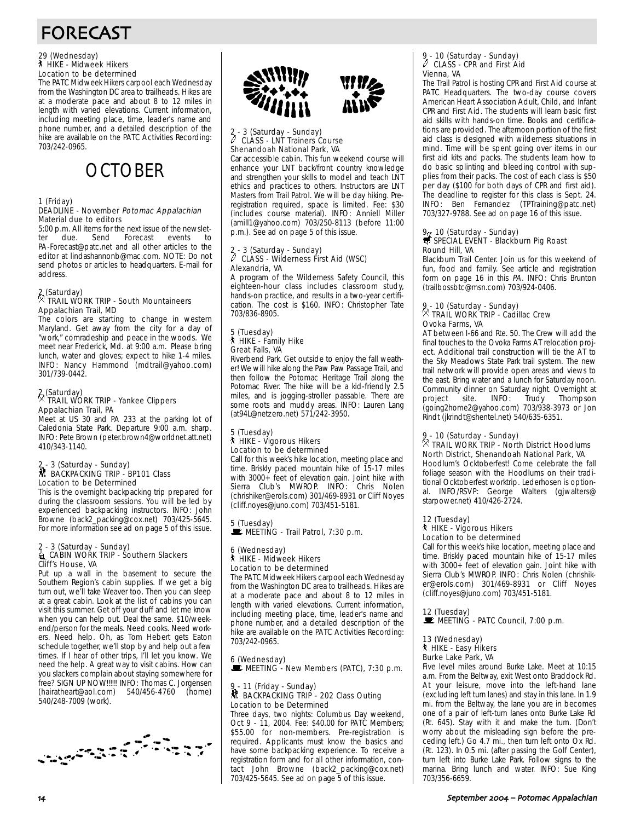## FORECAST

## 29 (Wednesday) ` HIKE - Midweek Hikers Location to be determined

The PATC Midweek Hikers carpool each Wednesday from the Washington DC area to trailheads. Hikes are at a moderate pace and about 8 to 12 miles in length with varied elevations. Current information, including meeting place, time, leader's name and phone number, and a detailed description of the hike are available on the PATC Activities Recording: 703/242-0965.



#### 1 (Friday) DEADLINE - November Potomac Appalachian Material due to editors

5:00 p.m. All items for the next issue of the newslet-<br>ter due. Send Forecast events to ter due. Send Forecast events PA-Forecast@patc.net and all other articles to the editor at lindashannonb@mac.com. NOTE: Do not send photos or articles to headquarters. E-mail for address.

### 2 (Saturday) . TRAIL WORK TRIP - South Mountaineers Appalachian Trail, MD

The colors are starting to change in western Maryland. Get away from the city for a day of "work," comradeship and peace in the woods. We meet near Frederick, Md. at 9:00 a.m. Please bring lunch, water and gloves; expect to hike 1-4 miles. INFO: Nancy Hammond (mdtrail@yahoo.com) 301/739-0442.

## 2 (Saturday) . TRAIL WORK TRIP - Yankee Clippers Appalachian Trail, PA

Meet at US 30 and PA 233 at the parking lot of Caledonia State Park. Departure 9:00 a.m. sharp. INFO: Pete Brown (peter.brown4@worldnet.att.net) 410/343-1140.

## 2. - 3 (Saturday - Sunday)<br>M BACKPACKING TRIP - BP101 Class Location to be Determined

This is the overnight backpacking trip prepared for during the classroom sessions. You will be led by experienced backpacking instructors. INFO: John Browne (back2\_packing@cox.net) 703/425-5645. For more information see ad on page 5 of this issue.

## 2 - 3 (Saturday - Sunday)<br>de CABIN WORK TRIP - Southern Slackers Cliff's House, VA

Put up a wall in the basement to secure the Southern Region's cabin supplies. If we get a big turn out, we'll take Weaver too. Then you can sleep at a great cabin. Look at the list of cabins you can visit this summer. Get off your duff and let me know when you can help out. Deal the same. \$10/weekend/person for the meals. Need cooks. Need workers. Need help. Oh, as Tom Hebert gets Eaton schedule together, we'll stop by and help out a few times. If I hear of other trips, I'll let you know. We need the help. A great way to visit cabins. How can you slackers complain about staying somewhere for free? SIGN UP NOW!!!!!! INFO: Thomas C. Jorgensen (hairatheart@aol.com) 540/456-4760 (home) 540/248-7009 (work).







## 2 - 3 (Saturday - Sunday) a CLASS - LNT Trainers Course Shenandoah National Park, VA

Car accessible cabin. This fun weekend course will enhance your LNT back/front country knowledge and strengthen your skills to model and teach LNT ethics and practices to others. Instructors are LNT Masters from Trail Patrol. We will be day hiking. Preregistration required, space is limited. Fee: \$30 (includes course material). INFO: Anniell Miller (amill1@yahoo.com) 703/250-8113 (before 11:00 p.m.). See ad on page 5 of this issue.

## 2 - 3 (Saturday - Sunday) a CLASS - Wilderness First Aid (WSC) Alexandria, VA

A program of the Wilderness Safety Council, this eighteen-hour class includes classroom study, hands-on practice, and results in a two-year certification. The cost is \$160. INFO: Christopher Tate 703/836-8905.

#### 5 (Tuesday) ` HIKE - Family Hike Great Falls, VA

Riverbend Park. Get outside to enjoy the fall weather! We will hike along the Paw Paw Passage Trail, and then follow the Potomac Heritage Trail along the Potomac River. The hike will be a kid-friendly 2.5 miles, and is jogging-stroller passable. There are some roots and muddy areas. INFO: Lauren Lang (at94L@netzero.net) 571/242-3950.

#### 5 (Tuesday) ` HIKE - Vigorous Hikers Location to be determined

Call for this week's hike location, meeting place and time. Briskly paced mountain hike of 15-17 miles with 3000+ feet of elevation gain. Joint hike with Sierra Club's MWROP. INFO: Chris Nolen (chrishiker@erols.com) 301/469-8931 or Cliff Noyes (cliff.noyes@juno.com) 703/451-5181.

5 (Tuesday)  $\mathbb{R}$  MEETING - Trail Patrol, 7:30 p.m.

#### 6 (Wednesday) ` HIKE - Midweek Hikers Location to be determined

The PATC Midweek Hikers carpool each Wednesday from the Washington DC area to trailheads. Hikes are at a moderate pace and about 8 to 12 miles in length with varied elevations. Current information, including meeting place, time, leader's name and phone number, and a detailed description of the hike are available on the PATC Activities Recording: 703/242-0965.

6 (Wednesday) \MEETING - New Members (PATC), 7:30 p.m.

## 9 - 11 (Friday - Sunday)<br>然 BACKPACKING TRIP - 202 Class Outing Location to be Determined

Three days, two nights: Columbus Day weekend, Oct 9 - 11, 2004. Fee: \$40.00 for PATC Members; \$55.00 for non-members. Pre-registration is required. Applicants must know the basics and have some backpacking experience. To receive a registration form and for all other information, contact John Browne (back2\_packing@cox.net) 703/425-5645. See ad on page 5 of this issue.

## 9 - 10 (Saturday - Sunday) a CLASS - CPR and First Aid Vienna, VA

The Trail Patrol is hosting CPR and First Aid course at PATC Headquarters. The two-day course covers American Heart Association Adult, Child, and Infant CPR and First Aid. The students will learn basic first aid skills with hands-on time. Books and certifications are provided. The afternoon portion of the first aid class is designed with wilderness situations in mind. Time will be spent going over items in our first aid kits and packs. The students learn how to do basic splinting and bleeding control with supplies from their packs. The cost of each class is \$50 per day (\$100 for both days of CPR and first aid). The deadline to register for this class is Sept. 24. INFO: Ben Fernandez (TPTraining@patc.net) 703/327-9788. See ad on page 16 of this issue.

## 9 - 10 (Saturday - Sunday)<br>*<del>寻</del> SPECIAL EVENT - Blackburn Pig Roast* Round Hill, VA

Blackburn Trail Center. Join us for this weekend of fun, food and family. See article and registration form on page 16 in this PA. INFO: Chris Brunton (trailbossbtc@msn.com) 703/924-0406.

## 9 - 10 (Saturday - Sunday) . TRAIL WORK TRIP - Cadillac Crew Ovoka Farms, VA

AT between I-66 and Rte. 50. The Crew will add the final touches to the Ovoka Farms AT relocation project. Additional trail construction will tie the AT to the Sky Meadows State Park trail system. The new trail network will provide open areas and views to the east. Bring water and a lunch for Saturday noon. Community dinner on Saturday night. Overnight at project site. INFO: Trudy Thompson (going2home2@yahoo.com) 703/938-3973 or Jon Rindt (jkrindt@shentel.net) 540/635-6351.

## 9 - 10 (Saturday - Sunday) . TRAIL WORK TRIP - North District Hoodlums

North District, Shenandoah National Park, VA Hoodlum's Ocktoberfest! Come celebrate the fall foliage season with the Hoodlums on their traditional Ocktoberfest worktrip. Lederhosen is optional. INFO/RSVP: George Walters (gjwalters@ starpower.net) 410/426-2724.

#### 12 (Tuesday) ` HIKE - Vigorous Hikers Location to be determined

Call for this week's hike location, meeting place and time. Briskly paced mountain hike of 15-17 miles with 3000+ feet of elevation gain. Joint hike with Sierra Club's MWROP. INFO: Chris Nolen (chrishiker@erols.com) 301/469-8931 or Cliff Noyes (cliff.noyes@juno.com) 703/451-5181.

#### 12 (Tuesday)

WE MEETING - PATC Council, 7:00 p.m.

#### 13 (Wednesday) ` HIKE - Easy Hikers Burke Lake Park, VA

Five level miles around Burke Lake. Meet at 10:15 a.m. From the Beltway, exit West onto Braddock Rd. At your leisure, move into the left-hand lane (excluding left turn lanes) and stay in this lane. In 1.9 mi. from the Beltway, the lane you are in becomes one of a pair of left-turn lanes onto Burke Lake Rd (Rt. 645). Stay with it and make the turn. (Don't worry about the misleading sign before the preceding left.) Go 4.7 mi., then turn left onto Ox Rd. (Rt. 123). In 0.5 mi. (after passing the Golf Center), turn left into Burke Lake Park. Follow signs to the marina. Bring lunch and water. INFO: Sue King 703/356-6659.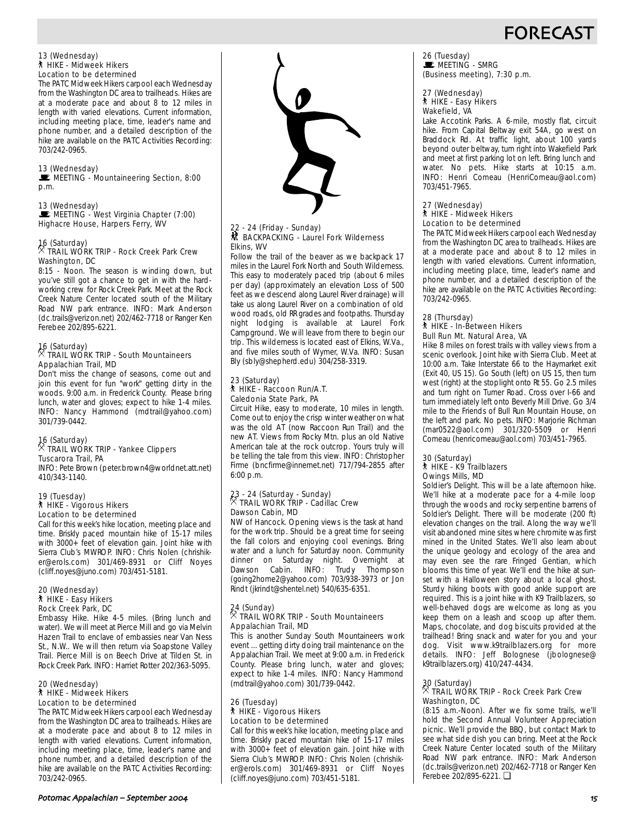## FORECA

## 13 (Wednesday) ` HIKE - Midweek Hikers Location to be determined

The PATC Midweek Hikers carpool each Wednesday from the Washington DC area to trailheads. Hikes are at a moderate pace and about 8 to 12 miles in length with varied elevations. Current information, including meeting place, time, leader's name and phone number, and a detailed description of the hike are available on the PATC Activities Recording: 703/242-0965.

#### 13 (Wednesday)

MEETING - Mountaineering Section, 8:00 p.m.

#### 13 (Wednesday)

MEETING - West Virginia Chapter (7:00) Highacre House, Harpers Ferry, WV

16 (Saturday) . TRAIL WORK TRIP - Rock Creek Park Crew Washington, DC

8:15 - Noon. The season is winding down, but you've still got a chance to get in with the hardworking crew for Rock Creek Park. Meet at the Rock Creek Nature Center located south of the Military Road NW park entrance. INFO: Mark Anderson (dc.trails@verizon.net) 202/462-7718 or Ranger Ken Ferebee 202/895-6221.

## 16 (Saturday) . TRAIL WORK TRIP - South Mountaineers Appalachian Trail, MD

Don't miss the change of seasons, come out and join this event for fun "work" getting dirty in the woods. 9:00 a.m. in Frederick County. Please bring lunch, water and gloves; expect to hike 1-4 miles. INFO: Nancy Hammond (mdtrail@yahoo.com) 301/739-0442.

#### 16 (Saturday) TRAIL WORK TRIP - Yankee Clippers Tuscarora Trail, PA

INFO: Pete Brown (peter.brown4@worldnet.att.net) 410/343-1140.

#### 19 (Tuesday) ` HIKE - Vigorous Hikers Location to be determined

Call for this week's hike location, meeting place and time. Briskly paced mountain hike of 15-17 miles with 3000+ feet of elevation gain. Joint hike with Sierra Club's MWROP. INFO: Chris Nolen (chrishiker@erols.com) 301/469-8931 or Cliff Noyes (cliff.noyes@juno.com) 703/451-5181.

#### 20 (Wednesday) ` HIKE - Easy Hikers Rock Creek Park, DC

Embassy Hike. Hike 4-5 miles. (Bring lunch and water). We will meet at Pierce Mill and go via Melvin Hazen Trail to enclave of embassies near Van Ness St., N.W.. We will then return via Soapstone Valley Trail. Pierce Mill is on Beech Drive at Tilden St. in Rock Creek Park. INFO: Harriet Rotter 202/363-5095.

#### 20 (Wednesday) ` HIKE - Midweek Hikers Location to be determined

The PATC Midweek Hikers carpool each Wednesday from the Washington DC area to trailheads. Hikes are at a moderate pace and about 8 to 12 miles in length with varied elevations. Current information, including meeting place, time, leader's name and phone number, and a detailed description of the hike are available on the PATC Activities Recording: 703/242-0965.



## 22 - 24 (Friday - Sunday)<br>林 BACKPACKING - Laurel Fork Wilderness Elkins, WV

Follow the trail of the beaver as we backpack 17 miles in the Laurel Fork North and South Wilderness. This easy to moderately paced trip (about 6 miles per day) (approximately an elevation Loss of 500 feet as we descend along Laurel River drainage) will take us along Laurel River on a combination of old wood roads, old RR grades and footpaths. Thursday night lodging is available at Laurel Fork Campground. We will leave from there to begin our trip. This wilderness is located east of Elkins, W.Va., and five miles south of Wymer, W.Va. INFO: Susan Bly (sbly@shepherd.edu) 304/258-3319.

#### 23 (Saturday) ` HIKE - Raccoon Run/A.T. Caledonia State Park, PA

Circuit Hike, easy to moderate, 10 miles in length. Come out to enjoy the crisp winter weather on what was the old AT (now Raccoon Run Trail) and the new AT. Views from Rocky Mtn. plus an old Native American tale at the rock outcrop. Yours truly will be telling the tale from this view. INFO: Christopher Firme (bncfirme@innernet.net) 717/794-2855 after 6:00 p.m.

### 23 - 24 (Saturday - Sunday) . TRAIL WORK TRIP - Cadillac Crew Dawson Cabin, MD

NW of Hancock. Opening views is the task at hand for the work trip. Should be a great time for seeing the fall colors and enjoying cool evenings. Bring water and a lunch for Saturday noon. Community dinner on Saturday night. Overnight at Dawson Cabin. INFO: Trudy Thompson (going2home2@yahoo.com) 703/938-3973 or Jon Rindt (jkrindt@shentel.net) 540/635-6351.

### 24 (Sunday) . TRAIL WORK TRIP - South Mountaineers Appalachian Trail, MD

This is another Sunday South Mountaineers work event ... getting dirty doing trail maintenance on the Appalachian Trail. We meet at 9:00 a.m. in Frederick County. Please bring lunch, water and gloves; expect to hike 1-4 miles. INFO: Nancy Hammond (mdtrail@yahoo.com) 301/739-0442.

#### 26 (Tuesday) ` HIKE - Vigorous Hikers Location to be determined

Call for this week's hike location, meeting place and time. Briskly paced mountain hike of 15-17 miles with 3000+ feet of elevation gain. Joint hike with Sierra Club's MWROP. INFO: Chris Nolen (chrishiker@erols.com) 301/469-8931 or Cliff Noyes (cliff.noyes@juno.com) 703/451-5181.

### 26 (Tuesday)<br>■ MEETING - SMRG (Business meeting), 7:30 p.m.

#### 27 (Wednesday) ` HIKE - Easy Hikers Wakefield, VA

Lake Accotink Parks. A 6-mile, mostly flat, circuit hike. From Capital Beltway exit 54A, go west on Braddock Rd. At traffic light, about 100 yards beyond outer beltway, turn right into Wakefield Park and meet at first parking lot on left. Bring lunch and water. No pets. Hike starts at 10:15 a.m. INFO: Henri Comeau (HenriComeau@aol.com) 703/451-7965.

## 27 (Wednesday) ` HIKE - Midweek Hikers Location to be determined

The PATC Midweek Hikers carpool each Wednesday from the Washington DC area to trailheads. Hikes are at a moderate pace and about 8 to 12 miles in length with varied elevations. Current information, including meeting place, time, leader's name and phone number, and a detailed description of the hike are available on the PATC Activities Recording: 703/242-0965.

#### 28 (Thursday) ` HIKE - In-Between Hikers Bull Run Mt. Natural Area, VA

Hike 8 miles on forest trails with valley views from a scenic overlook. Joint hike with Sierra Club. Meet at 10:00 a.m. Take Interstate 66 to the Haymarket exit (Exit 40, US 15). Go South (left) on US 15, then turn west (right) at the stoplight onto Rt 55. Go 2.5 miles and turn right on Turner Road. Cross over I-66 and turn immediately left onto Beverly Mill Drive. Go 3/4 mile to the Friends of Bull Run Mountain House, on the left and park. No pets. INFO: Marjorie Richman (mar0522@aol.com) 301/320-5509 or Henri Comeau (henricomeau@aol.com) 703/451-7965.

#### 30 (Saturday) ` HIKE - K9 Trailblazers Owings Mills, MD

Soldier's Delight. This will be a late afternoon hike. We'll hike at a moderate pace for a 4-mile loop through the woods and rocky serpentine barrens of Soldier's Delight. There will be moderate (200 ft) elevation changes on the trail. Along the way we'll visit abandoned mine sites where chromite was first mined in the United States. We'll also learn about the unique geology and ecology of the area and may even see the rare Fringed Gentian, which blooms this time of year. We'll end the hike at sunset with a Halloween story about a local ghost. Sturdy hiking boots with good ankle support are required. This is a joint hike with K9 Trailblazers, so well-behaved dogs are welcome as long as you keep them on a leash and scoop up after them. Maps, chocolate, and dog biscuits provided at the trailhead! Bring snack and water for you and your dog. Visit www.k9trailblazers.org for more details. INFO: Jeff Bolognese (jbolognese@ k9trailblazers.org) 410/247-4434.

### 30 (Saturday) . TRAIL WORK TRIP - Rock Creek Park Crew Washington, DC

(8:15 a.m.-Noon). After we fix some trails, we'll hold the Second Annual Volunteer Appreciation picnic. We'll provide the BBQ, but contact Mark to see what side dish you can bring. Meet at the Rock Creek Nature Center located south of the Military Road NW park entrance. INFO: Mark Anderson (dc.trails@verizon.net) 202/462-7718 or Ranger Ken Ferebee 202/895-6221. ❏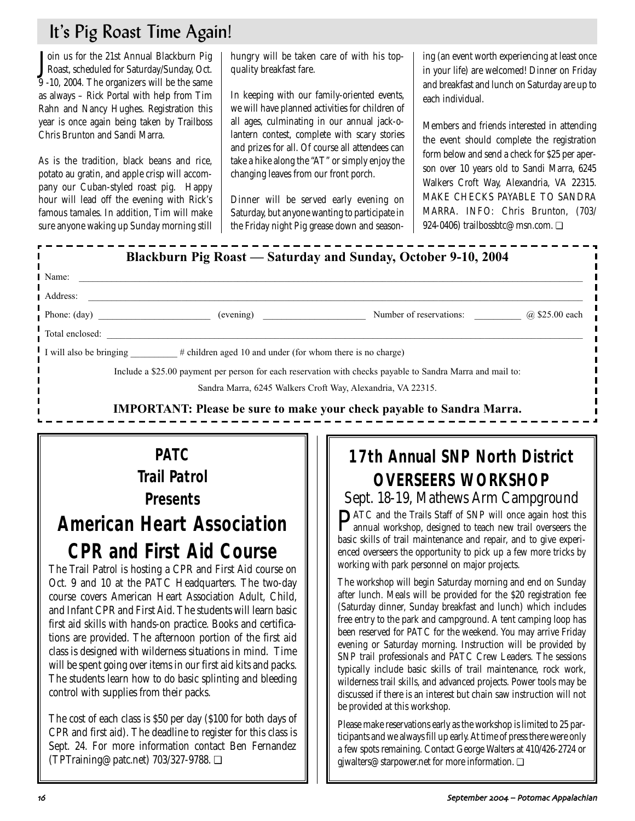## It's Pig Roast Time Again!

Join us for the 21st Annual Blackburn Pig<br>Roast, scheduled for Saturday/Sunday, Oct. oin us for the 21st Annual Blackburn Pig 9 -10, 2004. The organizers will be the same as always – Rick Portal with help from Tim Rahn and Nancy Hughes. Registration this year is once again being taken by Trailboss Chris Brunton and Sandi Marra.

As is the tradition, black beans and rice, potato au gratin, and apple crisp will accompany our Cuban-styled roast pig. Happy hour will lead off the evening with Rick's famous tamales. In addition, Tim will make sure anyone waking up Sunday morning still hungry will be taken care of with his topquality breakfast fare.

In keeping with our family-oriented events, we will have planned activities for children of all ages, culminating in our annual jack-olantern contest, complete with scary stories and prizes for all. Of course all attendees can take a hike along the "AT" or simply enjoy the changing leaves from our front porch.

Dinner will be served early evening on Saturday, but anyone wanting to participate in the Friday night Pig grease down and seasoning (an event worth experiencing at least once in your life) are welcomed! Dinner on Friday and breakfast and lunch on Saturday are up to each individual.

Members and friends interested in attending the event should complete the registration form below and send a check for \$25 per aperson over 10 years old to Sandi Marra, 6245 Walkers Croft Way, Alexandria, VA 22315. MAKE CHECKS PAYABLE TO SANDRA MARRA. INFO: Chris Brunton, (703/ 924-0406) trailbossbtc@msn.com. <del></del>

| I Name:         |                                                                                    | Blackburn Pig Roast — Saturday and Sunday, October 9-10, 2004                                              |                |
|-----------------|------------------------------------------------------------------------------------|------------------------------------------------------------------------------------------------------------|----------------|
| Address:        |                                                                                    |                                                                                                            |                |
|                 |                                                                                    | Number of reservations:                                                                                    | @ \$25.00 each |
| Total enclosed: |                                                                                    |                                                                                                            |                |
|                 | I will also be bringing # children aged 10 and under (for whom there is no charge) |                                                                                                            |                |
|                 |                                                                                    | Include a \$25.00 payment per person for each reservation with checks payable to Sandra Marra and mail to: |                |
|                 |                                                                                    | Sandra Marra, 6245 Walkers Croft Way, Alexandria, VA 22315.                                                |                |

## **PATC**

**Trail Patrol**

**Presents**

## **American Heart Association CPR and First Aid Course**

The Trail Patrol is hosting a CPR and First Aid course on Oct. 9 and 10 at the PATC Headquarters. The two-day course covers American Heart Association Adult, Child, and Infant CPR and First Aid. The students will learn basic first aid skills with hands-on practice. Books and certifications are provided. The afternoon portion of the first aid class is designed with wilderness situations in mind. Time will be spent going over items in our first aid kits and packs. The students learn how to do basic splinting and bleeding control with supplies from their packs.

The cost of each class is \$50 per day (\$100 for both days of CPR and first aid). The deadline to register for this class is Sept. 24. For more information contact Ben Fernandez (TPTraining@patc.net) 703/327-9788. ❏

## **17th Annual SNP North District OVERSEERS WORKSHOP**

Sept. 18-19, Mathews Arm Campground

PATC and the Trails Staff of SNP will once again host this annual workshop, designed to teach new trail overseers the basic skills of trail maintenance and repair, and to give experienced overseers the opportunity to pick up a few more tricks by working with park personnel on major projects.

The workshop will begin Saturday morning and end on Sunday after lunch. Meals will be provided for the \$20 registration fee (Saturday dinner, Sunday breakfast and lunch) which includes free entry to the park and campground. A tent camping loop has been reserved for PATC for the weekend. You may arrive Friday evening or Saturday morning. Instruction will be provided by SNP trail professionals and PATC Crew Leaders. The sessions typically include basic skills of trail maintenance, rock work, wilderness trail skills, and advanced projects. Power tools may be discussed if there is an interest but chain saw instruction will not be provided at this workshop.

Please make reservations early as the workshop is limited to 25 participants and we always fill up early. At time of press there were only a few spots remaining. Contact George Walters at 410/426-2724 or gjwalters@starpower.net for more information. ❏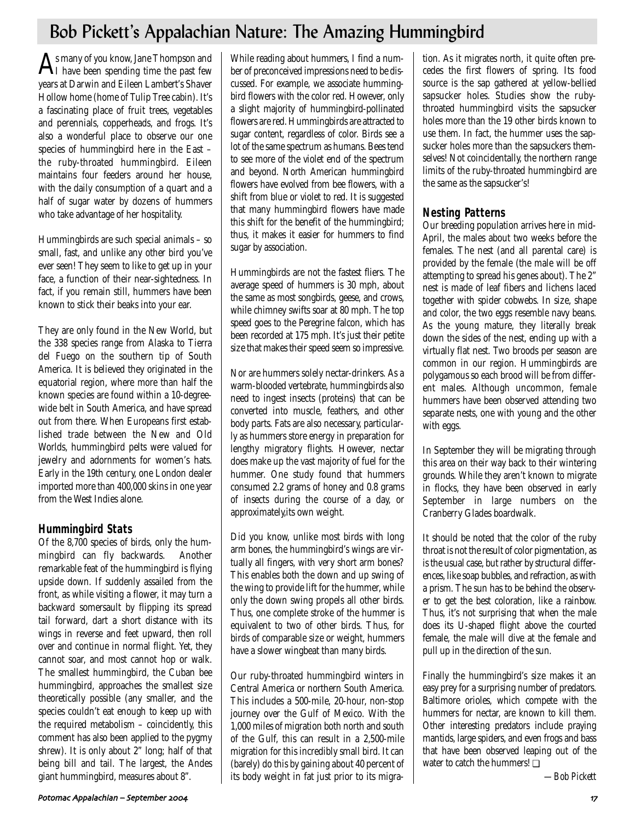## Bob Pickett's Appalachian Nature: The Amazing Hummingbird

 ${\rm A}$ s many of you know, Jane Thompson and<br> ${\rm A}$ I have been spending time the past few years at Darwin and Eileen Lambert's Shaver Hollow home (home of Tulip Tree cabin). It's a fascinating place of fruit trees, vegetables and perennials, copperheads, and frogs. It's also a wonderful place to observe our one species of hummingbird here in the East – the ruby-throated hummingbird. Eileen maintains four feeders around her house, with the daily consumption of a quart and a half of sugar water by dozens of hummers who take advantage of her hospitality.

Hummingbirds are such special animals – so small, fast, and unlike any other bird you've ever seen! They seem to like to get up in your face, a function of their near-sightedness. In fact, if you remain still, hummers have been known to stick their beaks into your ear.

They are only found in the New World, but the 338 species range from Alaska to Tierra del Fuego on the southern tip of South America. It is believed they originated in the equatorial region, where more than half the known species are found within a 10-degreewide belt in South America, and have spread out from there. When Europeans first established trade between the New and Old Worlds, hummingbird pelts were valued for jewelry and adornments for women's hats. Early in the 19th century, one London dealer imported more than 400,000 skins in one year from the West Indies alone.

## **Hummingbird Stats**

Of the 8,700 species of birds, only the hummingbird can fly backwards. Another remarkable feat of the hummingbird is flying upside down. If suddenly assailed from the front, as while visiting a flower, it may turn a backward somersault by flipping its spread tail forward, dart a short distance with its wings in reverse and feet upward, then roll over and continue in normal flight. Yet, they cannot soar, and most cannot hop or walk. The smallest hummingbird, the Cuban bee hummingbird, approaches the smallest size theoretically possible (any smaller, and the species couldn't eat enough to keep up with the required metabolism – coincidently, this comment has also been applied to the pygmy shrew). It is only about 2" long; half of that being bill and tail. The largest, the Andes giant hummingbird, measures about 8".

While reading about hummers, I find a number of preconceived impressions need to be discussed. For example, we associate hummingbird flowers with the color red. However, only a slight majority of hummingbird-pollinated flowers are red. Hummingbirds are attracted to sugar content, regardless of color. Birds see a lot of the same spectrum as humans. Bees tend to see more of the violet end of the spectrum and beyond. North American hummingbird flowers have evolved from bee flowers, with a shift from blue or violet to red. It is suggested that many hummingbird flowers have made this shift for the benefit of the hummingbird; thus, it makes it easier for hummers to find sugar by association.

Hummingbirds are not the fastest fliers. The average speed of hummers is 30 mph, about the same as most songbirds, geese, and crows, while chimney swifts soar at 80 mph. The top speed goes to the Peregrine falcon, which has been recorded at 175 mph. It's just their petite size that makes their speed seem so impressive.

Nor are hummers solely nectar-drinkers. As a warm-blooded vertebrate, hummingbirds also need to ingest insects (proteins) that can be converted into muscle, feathers, and other body parts. Fats are also necessary, particularly as hummers store energy in preparation for lengthy migratory flights. However, nectar does make up the vast majority of fuel for the hummer. One study found that hummers consumed 2.2 grams of honey and 0.8 grams of insects during the course of a day, or approximately,its own weight.

Did you know, unlike most birds with long arm bones, the hummingbird's wings are virtually all fingers, with very short arm bones? This enables both the down and up swing of the wing to provide lift for the hummer, while only the down swing propels all other birds. Thus, one complete stroke of the hummer is equivalent to two of other birds. Thus, for birds of comparable size or weight, hummers have a slower wingbeat than many birds.

Our ruby-throated hummingbird winters in Central America or northern South America. This includes a 500-mile, 20-hour, non-stop journey over the Gulf of Mexico. With the 1,000 miles of migration both north and south of the Gulf, this can result in a 2,500-mile migration for this incredibly small bird. It can (barely) do this by gaining about 40 percent of its body weight in fat just prior to its migration. As it migrates north, it quite often precedes the first flowers of spring. Its food source is the sap gathered at yellow-bellied sapsucker holes. Studies show the rubythroated hummingbird visits the sapsucker holes more than the 19 other birds known to use them. In fact, the hummer uses the sapsucker holes more than the sapsuckers themselves! Not coincidentally, the northern range limits of the ruby-throated hummingbird are the same as the sapsucker's!

## **Nesting Patterns**

Our breeding population arrives here in mid-April, the males about two weeks before the females. The nest (and all parental care) is provided by the female (the male will be off attempting to spread his genes about). The 2" nest is made of leaf fibers and lichens laced together with spider cobwebs. In size, shape and color, the two eggs resemble navy beans. As the young mature, they literally break down the sides of the nest, ending up with a virtually flat nest. Two broods per season are common in our region. Hummingbirds are polygamous so each brood will be from different males. Although uncommon, female hummers have been observed attending two separate nests, one with young and the other with eggs.

In September they will be migrating through this area on their way back to their wintering grounds. While they aren't known to migrate in flocks, they have been observed in early September in large numbers on the Cranberry Glades boardwalk.

It should be noted that the color of the ruby throat is not the result of color pigmentation, as is the usual case, but rather by structural differences, like soap bubbles, and refraction, as with a prism. The sun has to be behind the observer to get the best coloration, like a rainbow. Thus, it's not surprising that when the male does its U-shaped flight above the courted female, the male will dive at the female and pull up in the direction of the sun.

Finally the hummingbird's size makes it an easy prey for a surprising number of predators. Baltimore orioles, which compete with the hummers for nectar, are known to kill them. Other interesting predators include praying mantids, large spiders, and even frogs and bass that have been observed leaping out of the water to catch the hummers! ❏

*—Bob Pickett*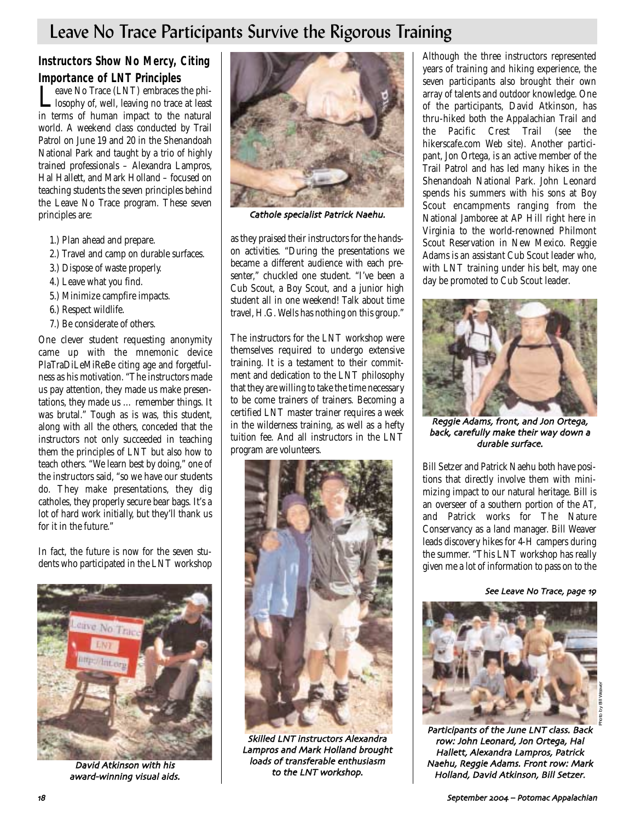## Leave No Trace Participants Survive the Rigorous Training

## **Instructors Show No Mercy, Citing**

**Importance of LNT Principles**<br>**T** eave No Trace (LNT) embraces the phi-Leave No Trace (LNT) embraces the phi-<br>Llosophy of, well, leaving no trace at least in terms of human impact to the natural world. A weekend class conducted by Trail Patrol on June 19 and 20 in the Shenandoah National Park and taught by a trio of highly trained professionals – Alexandra Lampros, Hal Hallett, and Mark Holland – focused on teaching students the seven principles behind the Leave No Trace program. These seven principles are:

- 1.) Plan ahead and prepare.
- 2.) Travel and camp on durable surfaces.
- 3.) Dispose of waste properly.
- 4.) Leave what you find.
- 5.) Minimize campfire impacts.
- 6.) Respect wildlife.
- 7.) Be considerate of others.

One clever student requesting anonymity came up with the mnemonic device PlaTraDiLeMiReBe citing age and forgetfulness as his motivation. "The instructors made us pay attention, they made us make presentations, they made us … remember things. It was brutal." Tough as is was, this student, along with all the others, conceded that the instructors not only succeeded in teaching them the principles of LNT but also how to teach others. "We learn best by doing," one of the instructors said, "so we have our students do. They make presentations, they dig catholes, they properly secure bear bags. It's a lot of hard work initially, but they'll thank us for it in the future."

In fact, the future is now for the seven students who participated in the LNT workshop



David Atkinson with his award-winning visual aids.



Cathole specialist Patrick Naehu.

as they praised their instructors for the handson activities. "During the presentations we became a different audience with each presenter," chuckled one student. "I've been a Cub Scout, a Boy Scout, and a junior high student all in one weekend! Talk about time travel, H.G. Wells has nothing on this group."

The instructors for the LNT workshop were themselves required to undergo extensive training. It is a testament to their commitment and dedication to the LNT philosophy that they are willing to take the time necessary to be come trainers of trainers. Becoming a certified LNT master trainer requires a week in the wilderness training, as well as a hefty tuition fee. And all instructors in the LNT program are volunteers.



Skilled LNT instructors Alexandra Lampros and Mark Holland brought loads of transferable enthusiasm to the LNT workshop.

Although the three instructors represented years of training and hiking experience, the seven participants also brought their own array of talents and outdoor knowledge. One of the participants, David Atkinson, has thru-hiked both the Appalachian Trail and the Pacific Crest Trail (see the hikerscafe.com Web site). Another participant, Jon Ortega, is an active member of the Trail Patrol and has led many hikes in the Shenandoah National Park. John Leonard spends his summers with his sons at Boy Scout encampments ranging from the National Jamboree at AP Hill right here in Virginia to the world-renowned Philmont Scout Reservation in New Mexico. Reggie Adams is an assistant Cub Scout leader who, with LNT training under his belt, may one day be promoted to Cub Scout leader.



Reggie Adams, front, and Jon Ortega, back carefully make their way down a durable surface.

Bill Setzer and Patrick Naehu both have positions that directly involve them with minimizing impact to our natural heritage. Bill is an overseer of a southern portion of the AT, and Patrick works for The Nature Conservancy as a land manager. Bill Weaver leads discovery hikes for 4-H campers during the summer. "This LNT workshop has really given me a lot of information to pass on to the

#### See Leave No Trace, page 19



Participants of the June LNT class. Back row: John Leonard, Jon Ortega, Hal Hallett Alexandra Lampros Patrick Naehu, Reggie Adams. Front row: Mark Holland, David Atkinson, Bill Setzer.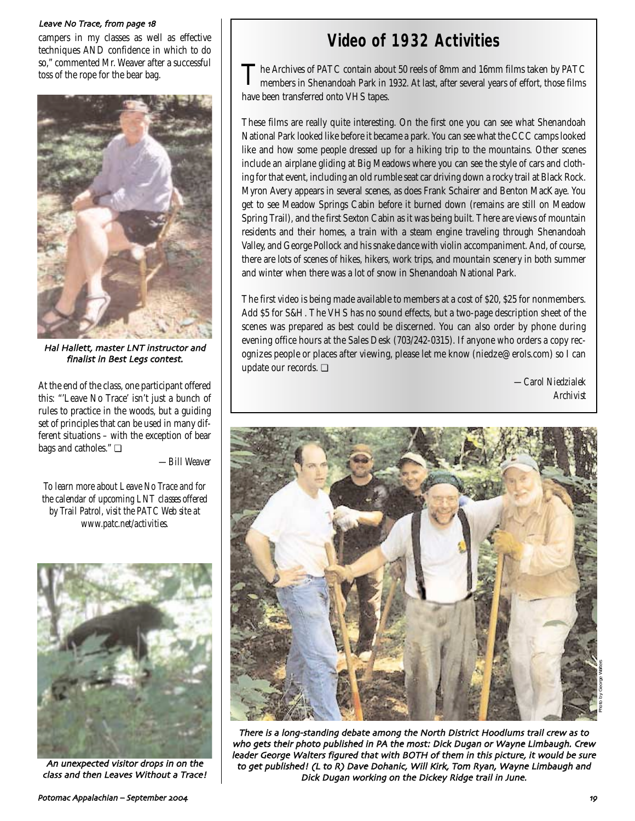#### Leave No Trace, from page 18

campers in my classes as well as effective techniques AND confidence in which to do so," commented Mr. Weaver after a successful toss of the rope for the bear bag.



Hal Hallett master LNT instructor and finalist in Best Legs contest.

At the end of the class, one participant offered this: "'Leave No Trace' isn't just a bunch of rules to practice in the woods, but a guiding set of principles that can be used in many different situations – with the exception of bear bags and catholes." ❏

*—Bill Weaver*

*To learn more about Leave No Trace and for the calendar of upcoming LNT classes offered by Trail Patrol, visit the PATC Web site at www.patc.net/activities.*



An unexpected visitor drops in on the class and then Leaves Without a Trace!

## **Video of 1932 Activities**

The Archives of PATC contain about 50 reels of 8mm and 16mm films taken by PATC<br>members in Shenandoah Park in 1932. At last, after several years of effort, those films have been transferred onto VHS tapes.

These films are really quite interesting. On the first one you can see what Shenandoah National Park looked like before it became a park. You can see what the CCC camps looked like and how some people dressed up for a hiking trip to the mountains. Other scenes include an airplane gliding at Big Meadows where you can see the style of cars and clothing for that event, including an old rumble seat car driving down a rocky trail at Black Rock. Myron Avery appears in several scenes, as does Frank Schairer and Benton MacKaye. You get to see Meadow Springs Cabin before it burned down (remains are still on Meadow Spring Trail), and the first Sexton Cabin as it was being built. There are views of mountain residents and their homes, a train with a steam engine traveling through Shenandoah Valley, and George Pollock and his snake dance with violin accompaniment. And, of course, there are lots of scenes of hikes, hikers, work trips, and mountain scenery in both summer and winter when there was a lot of snow in Shenandoah National Park.

The first video is being made available to members at a cost of \$20, \$25 for nonmembers. Add \$5 for S&H. The VHS has no sound effects, but a two-page description sheet of the scenes was prepared as best could be discerned. You can also order by phone during evening office hours at the Sales Desk (703/242-0315). If anyone who orders a copy recognizes people or places after viewing, please let me know (niedze@erols.com) so I can update our records. ❏

> *—Carol Niedzialek Archivist*

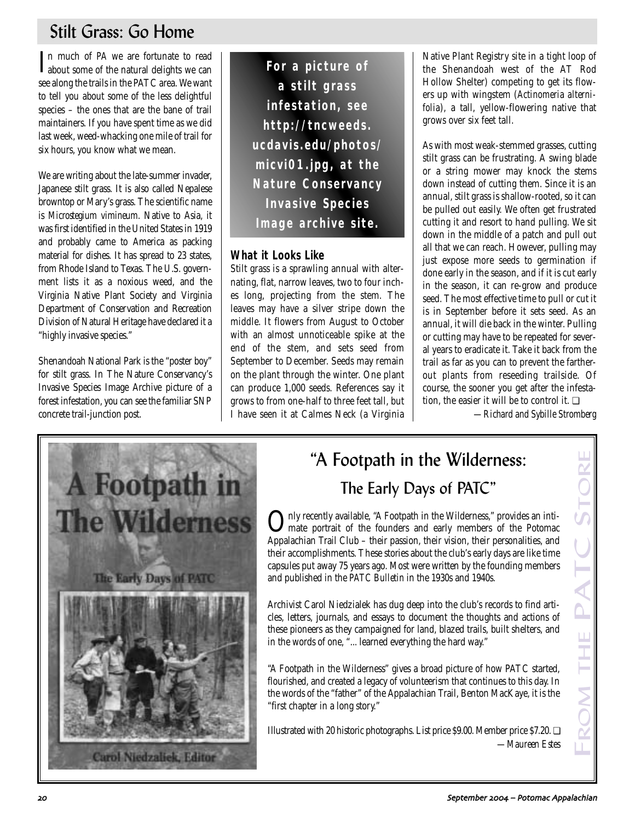## Stilt Grass: Go Home

In much of *PA* we are fortunate to read<br>about some of the natural delights we can about some of the natural delights we can see along the trails in the PATC area. We want to tell you about some of the less delightful species – the ones that are the bane of trail maintainers. If you have spent time as we did last week, weed-whacking one mile of trail for six hours, you know what we mean.

We are writing about the late-summer invader, Japanese stilt grass. It is also called Nepalese browntop or Mary's grass. The scientific name is *Microstegium vimineum*. Native to Asia, it was first identified in the United States in 1919 and probably came to America as packing material for dishes. It has spread to 23 states, from Rhode Island to Texas. The U.S. government lists it as a noxious weed, and the Virginia Native Plant Society and Virginia Department of Conservation and Recreation Division of Natural Heritage have declared it a "highly invasive species."

Shenandoah National Park is the "poster boy" for stilt grass. In The Nature Conservancy's Invasive Species Image Archive picture of a forest infestation, you can see the familiar SNP concrete trail-junction post.

**For a picture of a stilt grass infestation, see http://tncweeds. ucdavis.edu/photos/ micvi01.jpg, at the Nature Conservancy Invasive Species Image archive site.**

## **What it Looks Like**

Stilt grass is a sprawling annual with alternating, flat, narrow leaves, two to four inches long, projecting from the stem. The leaves may have a silver stripe down the middle. It flowers from August to October with an almost unnoticeable spike at the end of the stem, and sets seed from September to December. Seeds may remain on the plant through the winter. One plant can produce 1,000 seeds. References say it grows to from one-half to three feet tall, but I have seen it at Calmes Neck (a Virginia

Native Plant Registry site in a tight loop of the Shenandoah west of the AT Rod Hollow Shelter) competing to get its flowers up with wingstem (*Actinomeria alternifolia*), a tall, yellow-flowering native that grows over six feet tall.

As with most weak-stemmed grasses, cutting stilt grass can be frustrating. A swing blade or a string mower may knock the stems down instead of cutting them. Since it is an annual, stilt grass is shallow-rooted, so it can be pulled out easily. We often get frustrated cutting it and resort to hand pulling. We sit down in the middle of a patch and pull out all that we can reach. However, pulling may just expose more seeds to germination if done early in the season, and if it is cut early in the season, it can re-grow and produce seed. The most effective time to pull or cut it is in September before it sets seed. As an annual, it will die back in the winter. Pulling or cutting may have to be repeated for several years to eradicate it. Take it back from the trail as far as you can to prevent the fartherout plants from reseeding trailside. Of course, the sooner you get after the infestation, the easier it will be to control it. ❏

*—Richard and Sybille Stromberg*



## "A Footpath in the Wilderness: The Early Days of PATC"

Only recently available, "A Footpath in the Wilderness," provides an inti-<br>mate portrait of the founders and early members of the Potomac Appalachian Trail Club – their passion, their vision, their personalities, and their accomplishments. These stories about the club's early days are like time capsules put away 75 years ago. Most were written by the founding members and published in the *PATC Bulletin* in the 1930s and 1940s.

Archivist Carol Niedzialek has dug deep into the club's records to find articles, letters, journals, and essays to document the thoughts and actions of these pioneers as they campaigned for land, blazed trails, built shelters, and in the words of one, "... learned everything the hard way."

"A Footpath in the Wilderness" gives a broad picture of how PATC started, flourished, and created a legacy of volunteerism that continues to this day. In the words of the "father" of the Appalachian Trail, Benton MacKaye, it is the "first chapter in a long story."

Illustrated with 20 historic photographs. List price \$9.00. Member price \$7.20. ❏ *—Maureen Estes*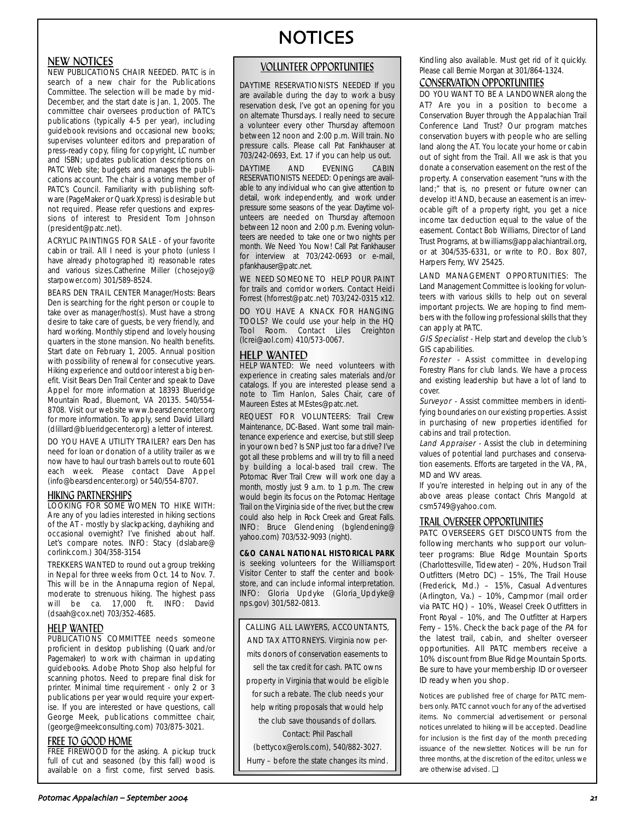### NEW NOTICES

NEW PUBLICATIONS CHAIR NEEDED. PATC is in search of a new chair for the Publications Committee. The selection will be made by mid-December, and the start date is Jan. 1, 2005. The committee chair oversees production of PATC's publications (typically 4-5 per year), including guidebook revisions and occasional new books; supervises volunteer editors and preparation of press-ready copy, filing for copyright, LC number and ISBN; updates publication descriptions on PATC Web site; budgets and manages the publications account. The chair is a voting member of PATC's Council. Familiarity with publishing software (PageMaker or Quark Xpress) is desirable but not required. Please refer questions and expressions of interest to President Tom Johnson (president@patc.net).

ACRYLIC PAINTINGS FOR SALE - of your favorite cabin or trail. All I need is your photo (unless I have already photographed it) reasonable rates and various sizes.Catherine Miller (chosejoy@ starpower.com) 301/589-8524.

BEARS DEN TRAIL CENTER Manager/Hosts: Bears Den is searching for the right person or couple to take over as manager/host(s). Must have a strong desire to take care of guests, be very friendly, and hard working. Monthly stipend and lovely housing quarters in the stone mansion. No health benefits. Start date on February 1, 2005. Annual position with possibility of renewal for consecutive years. Hiking experience and outdoor interest a big benefit. Visit Bears Den Trail Center and speak to Dave Appel for more information at 18393 Blueridge Mountain Road, Bluemont, VA 20135. 540/554- 8708. Visit our website www.bearsdencenter.org for more information. To apply, send David Lillard (dlillard@blueridgecenter.org) a letter of interest.

DO YOU HAVE A UTILITY TRAILER? ears Den has need for loan or donation of a utility trailer as we now have to haul our trash barrels out to route 601 each week. Please contact Dave Appel (info@bearsdencenter.org) or 540/554-8707.

#### HIKING PARTNERSHIPS

LOOKING FOR SOME WOMEN TO HIKE WITH: Are any of you ladies interested in hiking sections of the AT - mostly by slackpacking, dayhiking and occasional overnight? I've finished about half. Let's compare notes. INFO: Stacy (dslabare@ corlink.com.) 304/358-3154

TREKKERS WANTED to round out a group trekking in Nepal for three weeks from Oct. 14 to Nov. 7. This will be in the Annapurna region of Nepal, moderate to strenuous hiking. The highest pass will be ca. 17,000 ft. INFO: David (dsaah@cox.net) 703/352-4685.

#### HELP WANTED

PUBLICATIONS COMMITTEE needs someone proficient in desktop publishing (Quark and/or Pagemaker) to work with chairman in updating guidebooks. Adobe Photo Shop also helpful for scanning photos. Need to prepare final disk for printer. Minimal time requirement - only 2 or 3 publications per year would require your expertise. If you are interested or have questions, call George Meek, publications committee chair, (george@meekconsulting.com) 703/875-3021.

#### FREE TO GOOD HOME

FREE FIREWOOD for the asking. A pickup truck full of cut and seasoned (by this fall) wood is available on a first come, first served basis.

## NOTICES

#### VOLUNTEER OPPORTUNITIES

DAYTIME RESERVATIONISTS NEEDED If you are available during the day to work a busy reservation desk, I've got an opening for you on alternate Thursdays. I really need to secure a volunteer every other Thursday afternoon between 12 noon and 2:00 p.m. Will train. No pressure calls. Please call Pat Fankhauser at 703/242-0693, Ext. 17 if you can help us out.

DAYTIME AND EVENING CABIN RESERVATIONISTS NEEDED: Openings are available to any individual who can give attention to detail, work independently, and work under pressure some seasons of the year. Daytime volunteers are needed on Thursday afternoon between 12 noon and 2:00 p.m. Evening volunteers are needed to take one or two nights per month. We Need You Now! Call Pat Fankhauser for interview at 703/242-0693 or e-mail, pfankhauser@patc.net.

WE NEED SOMEONE TO HELP POUR PAINT for trails and corridor workers. Contact Heidi Forrest (hforrest@patc.net) 703/242-0315 x12.

DO YOU HAVE A KNACK FOR HANGING TOOLS? We could use your help in the HQ Tool Room. Contact Liles Creighton (lcrei@aol.com) 410/573-0067.

#### HELP WANTED

HELP WANTED: We need volunteers with experience in creating sales materials and/or catalogs. If you are interested please send a note to Tim Hanlon, Sales Chair, care of Maureen Estes at MEstes@patc.net.

REQUEST FOR VOLUNTEERS: Trail Crew Maintenance, DC-Based. Want some trail maintenance experience and exercise, but still sleep in your own bed? Is SNP just too far a drive? I've got all these problems and will try to fill a need by building a local-based trail crew. The Potomac River Trail Crew will work one day a month, mostly just 9 a.m. to 1 p.m. The crew would begin its focus on the Potomac Heritage Trail on the Virginia side of the river, but the crew could also help in Rock Creek and Great Falls. INFO: Bruce Glendening (bglendening@ yahoo.com) 703/532-9093 (night).

#### **C&O CANAL NATIONAL HISTORICAL PARK**

is seeking volunteers for the Williamsport Visitor Center to staff the center and bookstore, and can include informal interpretation. INFO: Gloria Updyke (Gloria\_Updyke@ nps.gov) 301/582-0813.

CALLING ALL LAWYERS, ACCOUNTANTS, AND TAX ATTORNEYS. Virginia now permits donors of conservation easements to sell the tax credit for cash. PATC owns property in Virginia that would be eligible for such a rebate. The club needs your help writing proposals that would help the club save thousands of dollars. Contact: Phil Paschall (bettycox@erols.com), 540/882-3027. Hurry – before the state changes its mind.

Kindling also available. Must get rid of it quickly. Please call Bernie Morgan at 301/864-1324.

### CONSERVATION OPPORTUNITIES

DO YOU WANT TO BE A LANDOWNER along the AT? Are you in a position to become a Conservation Buyer through the Appalachian Trail Conference Land Trust? Our program matches conservation buyers with people who are selling land along the AT. You locate your home or cabin out of sight from the Trail. All we ask is that you donate a conservation easement on the rest of the property. A conservation easement "runs with the land;" that is, no present or future owner can develop it! AND, because an easement is an irrevocable gift of a property right, you get a nice income tax deduction equal to the value of the easement. Contact Bob Williams, Director of Land Trust Programs, at bwilliams@appalachiantrail.org, or at 304/535-6331, or write to P.O. Box 807, Harpers Ferry, WV 25425.

LAND MANAGEMENT OPPORTUNITIES: The Land Management Committee is looking for volunteers with various skills to help out on several important projects. We are hoping to find members with the following professional skills that they can apply at PATC.

GIS Specialist - Help start and develop the club's GIS capabilities.

Forester - Assist committee in developing Forestry Plans for club lands. We have a process and existing leadership but have a lot of land to cover.

Surveyor - Assist committee members in identifying boundaries on our existing properties. Assist in purchasing of new properties identified for cabins and trail protection.

Land Appraiser - Assist the club in determining values of potential land purchases and conservation easements. Efforts are targeted in the VA, PA, MD and WV areas.

If you're interested in helping out in any of the above areas please contact Chris Mangold at csm5749@yahoo.com.

#### TRAIL OVERSEER OPPORTUNITIES

PATC OVERSEERS GET DISCOUNTS from the following merchants who support our volunteer programs: Blue Ridge Mountain Sports (Charlottesville, Tidewater) – 20%, Hudson Trail Outfitters (Metro DC) – 15%, The Trail House (Frederick, Md.) – 15%, Casual Adventures (Arlington, Va.) – 10%, Campmor (mail order via PATC HQ) – 10%, Weasel Creek Outfitters in Front Royal – 10%, and The Outfitter at Harpers Ferry – 15%. Check the back page of the PA for the latest trail, cabin, and shelter overseer opportunities. All PATC members receive a 10% discount from Blue Ridge Mountain Sports. Be sure to have your membership ID or overseer ID ready when you shop.

Notices are published free of charge for PATC members only. PATC cannot vouch for any of the advertised items. No commercial advertisement or personal notices unrelated to hiking will be accepted. Deadline for inclusion is the first day of the month preceding issuance of the newsletter. Notices will be run for three months, at the discretion of the editor, unless we are otherwise advised. ❏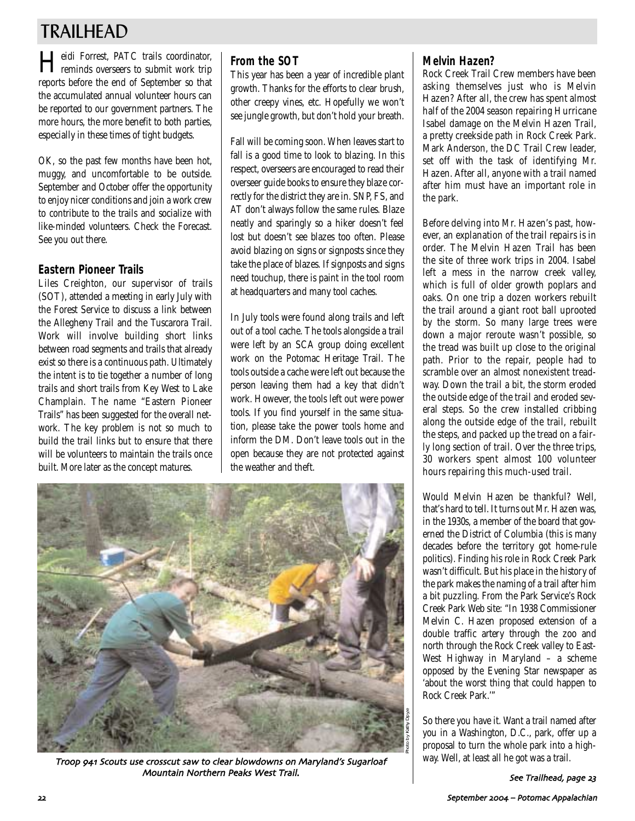## TRAILHEAD

Heidi Forrest, PATC trails coordinator, reminds overseers to submit work trip reports before the end of September so that the accumulated annual volunteer hours can be reported to our government partners. The more hours, the more benefit to both parties, especially in these times of tight budgets.

OK, so the past few months have been hot, muggy, and uncomfortable to be outside. September and October offer the opportunity to enjoy nicer conditions and join a work crew to contribute to the trails and socialize with like-minded volunteers. Check the Forecast. See you out there.

## **Eastern Pioneer Trails**

Liles Creighton, our supervisor of trails (SOT), attended a meeting in early July with the Forest Service to discuss a link between the Allegheny Trail and the Tuscarora Trail. Work will involve building short links between road segments and trails that already exist so there is a continuous path. Ultimately the intent is to tie together a number of long trails and short trails from Key West to Lake Champlain. The name "Eastern Pioneer Trails" has been suggested for the overall network. The key problem is not so much to build the trail links but to ensure that there will be volunteers to maintain the trails once built. More later as the concept matures.

## **From the SOT**

This year has been a year of incredible plant growth. Thanks for the efforts to clear brush, other creepy vines, etc. Hopefully we won't see jungle growth, but don't hold your breath.

Fall will be coming soon. When leaves start to fall is a good time to look to blazing. In this respect, overseers are encouraged to read their overseer guide books to ensure they blaze correctly for the district they are in. SNP, FS, and AT don't always follow the same rules. Blaze neatly and sparingly so a hiker doesn't feel lost but doesn't see blazes too often. Please avoid blazing on signs or signposts since they take the place of blazes. If signposts and signs need touchup, there is paint in the tool room at headquarters and many tool caches.

In July tools were found along trails and left out of a tool cache. The tools alongside a trail were left by an SCA group doing excellent work on the Potomac Heritage Trail. The tools outside a cache were left out because the person leaving them had a key that didn't work. However, the tools left out were power tools. If you find yourself in the same situation, please take the power tools home and inform the DM. Don't leave tools out in the open because they are not protected against the weather and theft.



Troop 941 Scouts use crosscut saw to clear blowdowns on Maryland's Sugarloaf Mountain Northern Peaks West Trail.

## **Melvin Hazen?**

Rock Creek Trail Crew members have been asking themselves just who is Melvin Hazen? After all, the crew has spent almost half of the 2004 season repairing Hurricane Isabel damage on the Melvin Hazen Trail, a pretty creekside path in Rock Creek Park. Mark Anderson, the DC Trail Crew leader, set off with the task of identifying Mr. Hazen. After all, anyone with a trail named after him must have an important role in the park.

Before delving into Mr. Hazen's past, however, an explanation of the trail repairs is in order. The Melvin Hazen Trail has been the site of three work trips in 2004. Isabel left a mess in the narrow creek valley, which is full of older growth poplars and oaks. On one trip a dozen workers rebuilt the trail around a giant root ball uprooted by the storm. So many large trees were down a major reroute wasn't possible, so the tread was built up close to the original path. Prior to the repair, people had to scramble over an almost nonexistent treadway. Down the trail a bit, the storm eroded the outside edge of the trail and eroded several steps. So the crew installed cribbing along the outside edge of the trail, rebuilt the steps, and packed up the tread on a fairly long section of trail. Over the three trips, 30 workers spent almost 100 volunteer hours repairing this much-used trail.

Would Melvin Hazen be thankful? Well, that's hard to tell. It turns out Mr. Hazen was, in the 1930s, a member of the board that governed the District of Columbia (this is many decades before the territory got home-rule politics). Finding his role in Rock Creek Park wasn't difficult. But his place in the history of the park makes the naming of a trail after him a bit puzzling. From the Park Service's Rock Creek Park Web site: "In 1938 Commissioner Melvin C. Hazen proposed extension of a double traffic artery through the zoo and north through the Rock Creek valley to East-West Highway in Maryland – a scheme opposed by the Evening Star newspaper as 'about the worst thing that could happen to Rock Creek Park.'"

So there you have it. Want a trail named after you in a Washington, D.C., park, offer up a proposal to turn the whole park into a highway. Well, at least all he got was a trail.

See Trailhead, page 23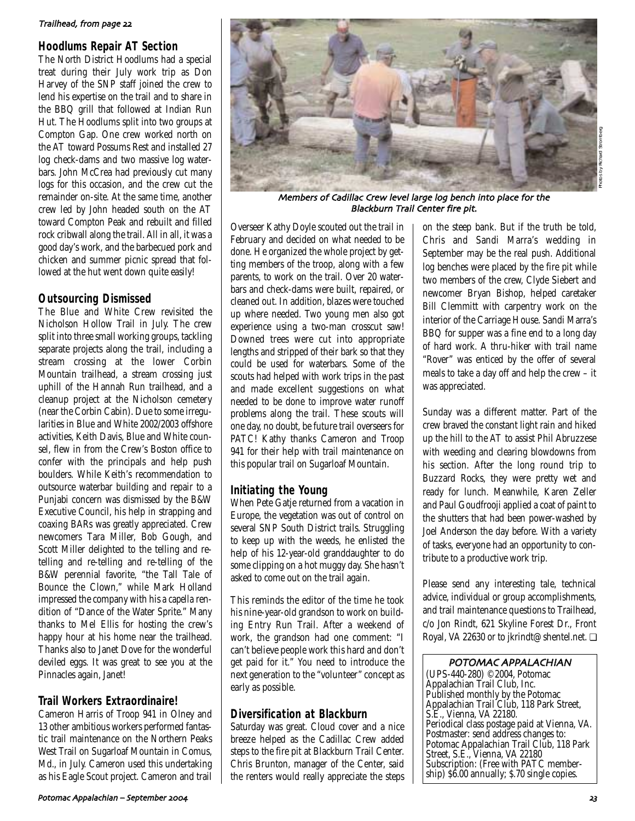#### Trailhead, from page 22

### **Hoodlums Repair AT Section**

The North District Hoodlums had a special treat during their July work trip as Don Harvey of the SNP staff joined the crew to lend his expertise on the trail and to share in the BBQ grill that followed at Indian Run Hut. The Hoodlums split into two groups at Compton Gap. One crew worked north on the AT toward Possums Rest and installed 27 log check-dams and two massive log waterbars. John McCrea had previously cut many logs for this occasion, and the crew cut the remainder on-site. At the same time, another crew led by John headed south on the AT toward Compton Peak and rebuilt and filled rock cribwall along the trail. All in all, it was a good day's work, and the barbecued pork and chicken and summer picnic spread that followed at the hut went down quite easily!

### **Outsourcing Dismissed**

The Blue and White Crew revisited the Nicholson Hollow Trail in July. The crew split into three small working groups, tackling separate projects along the trail, including a stream crossing at the lower Corbin Mountain trailhead, a stream crossing just uphill of the Hannah Run trailhead, and a cleanup project at the Nicholson cemetery (near the Corbin Cabin). Due to some irregularities in Blue and White 2002/2003 offshore activities, Keith Davis, Blue and White counsel, flew in from the Crew's Boston office to confer with the principals and help push boulders. While Keith's recommendation to outsource waterbar building and repair to a Punjabi concern was dismissed by the B&W Executive Council, his help in strapping and coaxing BARs was greatly appreciated. Crew newcomers Tara Miller, Bob Gough, and Scott Miller delighted to the telling and retelling and re-telling and re-telling of the B&W perennial favorite, "the Tall Tale of Bounce the Clown," while Mark Holland impressed the company with his *a capella* rendition of "Dance of the Water Sprite." Many thanks to Mel Ellis for hosting the crew's happy hour at his home near the trailhead. Thanks also to Janet Dove for the wonderful deviled eggs. It was great to see you at the Pinnacles again, Janet!

### **Trail Workers Extraordinaire!**

Cameron Harris of Troop 941 in Olney and 13 other ambitious workers performed fantastic trail maintenance on the Northern Peaks West Trail on Sugarloaf Mountain in Comus, Md., in July. Cameron used this undertaking as his Eagle Scout project. Cameron and trail



Members of Cadillac Crew level large log bench into place for the Blackburn Trail Center fire pit.

Overseer Kathy Doyle scouted out the trail in February and decided on what needed to be done. He organized the whole project by getting members of the troop, along with a few parents, to work on the trail. Over 20 waterbars and check-dams were built, repaired, or cleaned out. In addition, blazes were touched up where needed. Two young men also got experience using a two-man crosscut saw! Downed trees were cut into appropriate lengths and stripped of their bark so that they could be used for waterbars. Some of the scouts had helped with work trips in the past and made excellent suggestions on what needed to be done to improve water runoff problems along the trail. These scouts will one day, no doubt, be future trail overseers for PATC! Kathy thanks Cameron and Troop 941 for their help with trail maintenance on this popular trail on Sugarloaf Mountain.

### **Initiating the Young**

When Pete Gatje returned from a vacation in Europe, the vegetation was out of control on several SNP South District trails. Struggling to keep up with the weeds, he enlisted the help of his 12-year-old granddaughter to do some clipping on a hot muggy day. She hasn't asked to come out on the trail again.

This reminds the editor of the time he took his nine-year-old grandson to work on building Entry Run Trail. After a weekend of work, the grandson had one comment: "I can't believe people work this hard and don't get paid for it." You need to introduce the next generation to the "volunteer" concept as early as possible.

### **Diversification at Blackburn**

Saturday was great. Cloud cover and a nice breeze helped as the Cadillac Crew added steps to the fire pit at Blackburn Trail Center. Chris Brunton, manager of the Center, said the renters would really appreciate the steps on the steep bank. But if the truth be told, Chris and Sandi Marra's wedding in September may be the real push. Additional log benches were placed by the fire pit while two members of the crew, Clyde Siebert and newcomer Bryan Bishop, helped caretaker Bill Clemmitt with carpentry work on the interior of the Carriage House. Sandi Marra's BBQ for supper was a fine end to a long day of hard work. A thru-hiker with trail name "Rover" was enticed by the offer of several meals to take a day off and help the crew – it was appreciated.

Sunday was a different matter. Part of the crew braved the constant light rain and hiked up the hill to the AT to assist Phil Abruzzese with weeding and clearing blowdowns from his section. After the long round trip to Buzzard Rocks, they were pretty wet and ready for lunch. Meanwhile, Karen Zeller and Paul Goudfrooji applied a coat of paint to the shutters that had been power-washed by Joel Anderson the day before. With a variety of tasks, everyone had an opportunity to contribute to a productive work trip.

Please send any interesting tale, technical advice, individual or group accomplishments, and trail maintenance questions to Trailhead, c/o Jon Rindt, 621 Skyline Forest Dr., Front Royal, VA 22630 or to jkrindt@shentel.net. ❏

POTOMAC APPALACHIAN

(UPS-440-280) ©2004, Potomac Appalachian Trail Club, Inc. Published monthly by the Potomac Appalachian Trail Club, 118 Park Street, S.E., Vienna, VA 22180. Periodical class postage paid at Vienna, VA. Postmaster: send address changes to: Potomac Appalachian Trail Club, 118 Park Street, S.E., Vienna, VA 22180 Subscription: (Free with PATC membership) \$6.00 annually; \$.70 single copies.